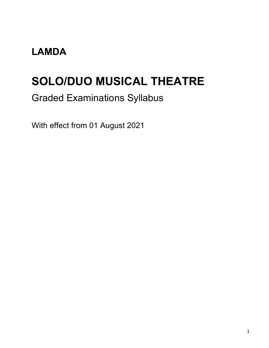### **LAMDA**

# **SOLO/DUO MUSICAL THEATRE**

### Graded Examinations Syllabus

With effect from 01 August 2021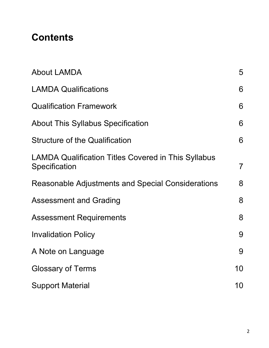### **Contents**

| <b>About LAMDA</b>                                                          | 5              |
|-----------------------------------------------------------------------------|----------------|
| <b>LAMDA Qualifications</b>                                                 | 6              |
| <b>Qualification Framework</b>                                              | 6              |
| <b>About This Syllabus Specification</b>                                    | 6              |
| <b>Structure of the Qualification</b>                                       | 6              |
| <b>LAMDA Qualification Titles Covered in This Syllabus</b><br>Specification | $\overline{7}$ |
| Reasonable Adjustments and Special Considerations                           | 8              |
| <b>Assessment and Grading</b>                                               | 8              |
| <b>Assessment Requirements</b>                                              | 8              |
| <b>Invalidation Policy</b>                                                  | 9              |
| A Note on Language                                                          | 9              |
| <b>Glossary of Terms</b>                                                    | 10             |
| <b>Support Material</b>                                                     | 10             |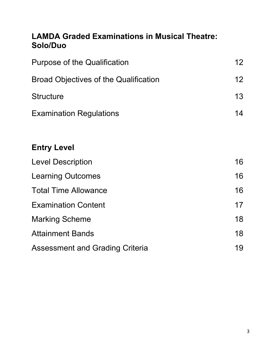#### **LAMDA Graded Examinations in Musical Theatre: Solo/Duo**

| <b>Purpose of the Qualification</b>          |    |
|----------------------------------------------|----|
| <b>Broad Objectives of the Qualification</b> | 12 |
| <b>Structure</b>                             | 13 |
| <b>Examination Regulations</b>               | 14 |
|                                              |    |
| <b>Entry Level</b>                           |    |
| <b>Level Description</b>                     | 16 |
| <b>Learning Outcomes</b>                     | 16 |
| <b>Total Time Allowance</b>                  | 16 |
| <b>Examination Content</b>                   | 17 |
| <b>Marking Scheme</b>                        | 18 |
| <b>Attainment Bands</b>                      | 18 |
| <b>Assessment and Grading Criteria</b>       | 19 |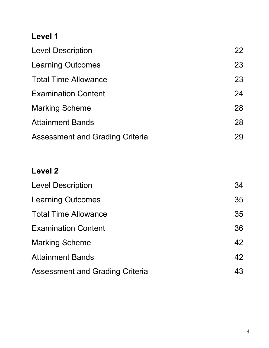### **Level 1**

| <b>Level Description</b>               | 22 |
|----------------------------------------|----|
| <b>Learning Outcomes</b>               | 23 |
| <b>Total Time Allowance</b>            | 23 |
| <b>Examination Content</b>             | 24 |
| <b>Marking Scheme</b>                  | 28 |
| <b>Attainment Bands</b>                | 28 |
| <b>Assessment and Grading Criteria</b> | 29 |

### **Level 2**

| <b>Level Description</b>               | 34 |
|----------------------------------------|----|
| <b>Learning Outcomes</b>               | 35 |
| <b>Total Time Allowance</b>            | 35 |
| <b>Examination Content</b>             | 36 |
| <b>Marking Scheme</b>                  | 42 |
| <b>Attainment Bands</b>                | 42 |
| <b>Assessment and Grading Criteria</b> | 43 |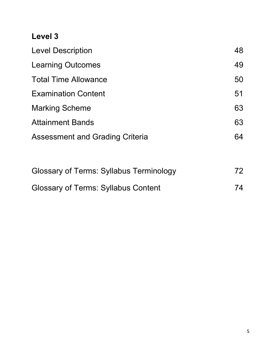#### **Level 3**

| 48 |
|----|
| 49 |
| 50 |
| 51 |
| 63 |
| 63 |
| 64 |
|    |

| <b>Glossary of Terms: Syllabus Terminology</b> | 72 |
|------------------------------------------------|----|
| <b>Glossary of Terms: Syllabus Content</b>     | 74 |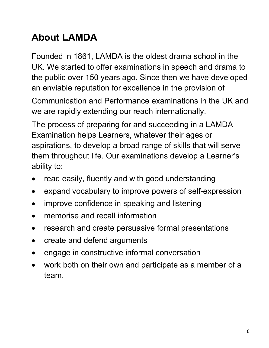# **About LAMDA**

Founded in 1861, LAMDA is the oldest drama school in the UK. We started to offer examinations in speech and drama to the public over 150 years ago. Since then we have developed an enviable reputation for excellence in the provision of

Communication and Performance examinations in the UK and we are rapidly extending our reach internationally.

The process of preparing for and succeeding in a LAMDA Examination helps Learners, whatever their ages or aspirations, to develop a broad range of skills that will serve them throughout life. Our examinations develop a Learner's ability to:

- read easily, fluently and with good understanding
- expand vocabulary to improve powers of self-expression
- improve confidence in speaking and listening
- memorise and recall information
- research and create persuasive formal presentations
- create and defend arguments
- engage in constructive informal conversation
- work both on their own and participate as a member of a team.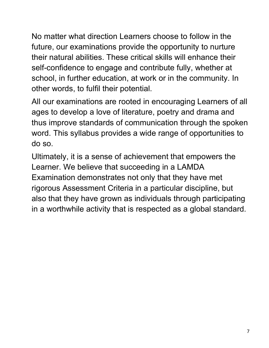No matter what direction Learners choose to follow in the future, our examinations provide the opportunity to nurture their natural abilities. These critical skills will enhance their self-confidence to engage and contribute fully, whether at school, in further education, at work or in the community. In other words, to fulfil their potential.

All our examinations are rooted in encouraging Learners of all ages to develop a love of literature, poetry and drama and thus improve standards of communication through the spoken word. This syllabus provides a wide range of opportunities to do so.

Ultimately, it is a sense of achievement that empowers the Learner. We believe that succeeding in a LAMDA Examination demonstrates not only that they have met rigorous Assessment Criteria in a particular discipline, but also that they have grown as individuals through participating in a worthwhile activity that is respected as a global standard.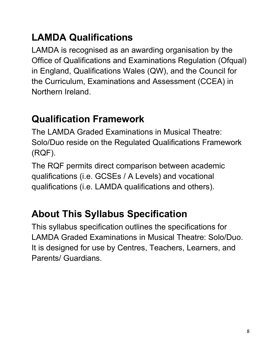# **LAMDA Qualifications**

LAMDA is recognised as an awarding organisation by the Office of Qualifications and Examinations Regulation (Ofqual) in England, Qualifications Wales (QW), and the Council for the Curriculum, Examinations and Assessment (CCEA) in Northern Ireland.

# **Qualification Framework**

The LAMDA Graded Examinations in Musical Theatre: Solo/Duo reside on the Regulated Qualifications Framework (RQF).

The RQF permits direct comparison between academic qualifications (i.e. GCSEs / A Levels) and vocational qualifications (i.e. LAMDA qualifications and others).

# **About This Syllabus Specification**

This syllabus specification outlines the specifications for LAMDA Graded Examinations in Musical Theatre: Solo/Duo. It is designed for use by Centres, Teachers, Learners, and Parents/ Guardians.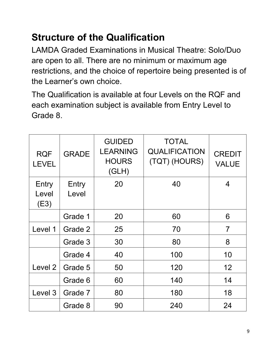# **Structure of the Qualification**

LAMDA Graded Examinations in Musical Theatre: Solo/Duo are open to all. There are no minimum or maximum age restrictions, and the choice of repertoire being presented is of the Learner's own choice.

The Qualification is available at four Levels on the RQF and each examination subject is available from Entry Level to Grade 8.

| <b>RQF</b><br><b>LEVEL</b> | <b>GRADE</b>   | <b>GUIDED</b><br><b>LEARNING</b><br><b>HOURS</b><br>(GLH) | <b>TOTAL</b><br><b>QUALIFICATION</b><br>(TQT) (HOURS) | <b>CREDIT</b><br><b>VALUE</b> |
|----------------------------|----------------|-----------------------------------------------------------|-------------------------------------------------------|-------------------------------|
| Entry<br>Level<br>(E3)     | Entry<br>Level | 20                                                        | 40                                                    | 4                             |
|                            | Grade 1        | 20                                                        | 60                                                    | 6                             |
| Level 1                    | Grade 2        | 25                                                        | 70                                                    | $\overline{7}$                |
|                            | Grade 3        | 30                                                        | 80                                                    | 8                             |
|                            | Grade 4        | 40                                                        | 100                                                   | 10                            |
| Level 2                    | Grade 5        | 50                                                        | 120                                                   | 12                            |
|                            | Grade 6        | 60                                                        | 140                                                   | 14                            |
| Level 3                    | Grade 7        | 80                                                        | 180                                                   | 18                            |
|                            | Grade 8        | 90                                                        | 240                                                   | 24                            |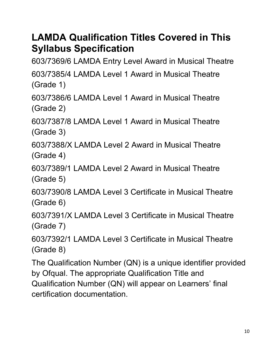### **LAMDA Qualification Titles Covered in This Syllabus Specification**

603/7369/6 LAMDA Entry Level Award in Musical Theatre

603/7385/4 LAMDA Level 1 Award in Musical Theatre (Grade 1)

603/7386/6 LAMDA Level 1 Award in Musical Theatre (Grade 2)

603/7387/8 LAMDA Level 1 Award in Musical Theatre (Grade 3)

603/7388/X LAMDA Level 2 Award in Musical Theatre (Grade 4)

603/7389/1 LAMDA Level 2 Award in Musical Theatre (Grade 5)

603/7390/8 LAMDA Level 3 Certificate in Musical Theatre (Grade 6)

603/7391/X LAMDA Level 3 Certificate in Musical Theatre (Grade 7)

603/7392/1 LAMDA Level 3 Certificate in Musical Theatre (Grade 8)

The Qualification Number (QN) is a unique identifier provided by Ofqual. The appropriate Qualification Title and Qualification Number (QN) will appear on Learners' final certification documentation.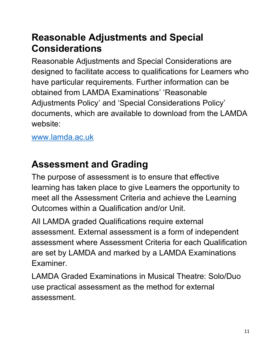### **Reasonable Adjustments and Special Considerations**

Reasonable Adjustments and Special Considerations are designed to facilitate access to qualifications for Learners who have particular requirements. Further information can be obtained from LAMDA Examinations' 'Reasonable Adjustments Policy' and 'Special Considerations Policy' documents, which are available to download from the LAMDA website:

#### www.lamda.ac.uk

### **Assessment and Grading**

The purpose of assessment is to ensure that effective learning has taken place to give Learners the opportunity to meet all the Assessment Criteria and achieve the Learning Outcomes within a Qualification and/or Unit.

All LAMDA graded Qualifications require external assessment. External assessment is a form of independent assessment where Assessment Criteria for each Qualification are set by LAMDA and marked by a LAMDA Examinations Examiner.

LAMDA Graded Examinations in Musical Theatre: Solo/Duo use practical assessment as the method for external assessment.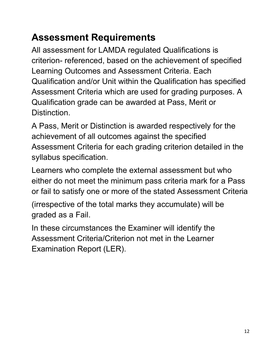# **Assessment Requirements**

All assessment for LAMDA regulated Qualifications is criterion- referenced, based on the achievement of specified Learning Outcomes and Assessment Criteria. Each Qualification and/or Unit within the Qualification has specified Assessment Criteria which are used for grading purposes. A Qualification grade can be awarded at Pass, Merit or **Distinction** 

A Pass, Merit or Distinction is awarded respectively for the achievement of all outcomes against the specified Assessment Criteria for each grading criterion detailed in the syllabus specification.

Learners who complete the external assessment but who either do not meet the minimum pass criteria mark for a Pass or fail to satisfy one or more of the stated Assessment Criteria

(irrespective of the total marks they accumulate) will be graded as a Fail.

In these circumstances the Examiner will identify the Assessment Criteria/Criterion not met in the Learner Examination Report (LER).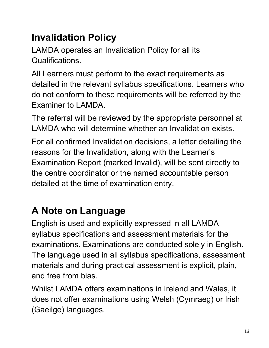# **Invalidation Policy**

LAMDA operates an Invalidation Policy for all its Qualifications.

All Learners must perform to the exact requirements as detailed in the relevant syllabus specifications. Learners who do not conform to these requirements will be referred by the Examiner to LAMDA.

The referral will be reviewed by the appropriate personnel at LAMDA who will determine whether an Invalidation exists.

For all confirmed Invalidation decisions, a letter detailing the reasons for the Invalidation, along with the Learner's Examination Report (marked Invalid), will be sent directly to the centre coordinator or the named accountable person detailed at the time of examination entry.

# **A Note on Language**

English is used and explicitly expressed in all LAMDA syllabus specifications and assessment materials for the examinations. Examinations are conducted solely in English. The language used in all syllabus specifications, assessment materials and during practical assessment is explicit, plain, and free from bias.

Whilst LAMDA offers examinations in Ireland and Wales, it does not offer examinations using Welsh (Cymraeg) or Irish (Gaeilge) languages.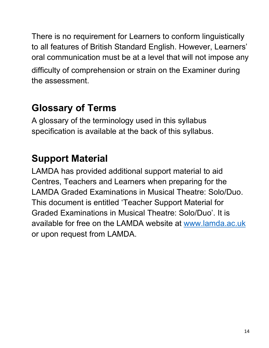There is no requirement for Learners to conform linguistically to all features of British Standard English. However, Learners' oral communication must be at a level that will not impose any difficulty of comprehension or strain on the Examiner during the assessment.

# **Glossary of Terms**

A glossary of the terminology used in this syllabus specification is available at the back of this syllabus.

# **Support Material**

LAMDA has provided additional support material to aid Centres, Teachers and Learners when preparing for the LAMDA Graded Examinations in Musical Theatre: Solo/Duo. This document is entitled 'Teacher Support Material for Graded Examinations in Musical Theatre: Solo/Duo'. It is available for free on the LAMDA website at www.lamda.ac.uk or upon request from LAMDA.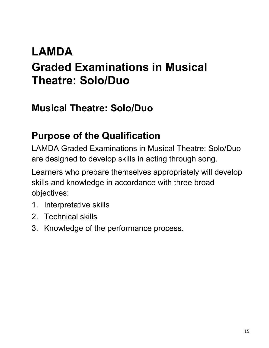# **LAMDA Graded Examinations in Musical Theatre: Solo/Duo**

### **Musical Theatre: Solo/Duo**

### **Purpose of the Qualification**

LAMDA Graded Examinations in Musical Theatre: Solo/Duo are designed to develop skills in acting through song.

Learners who prepare themselves appropriately will develop skills and knowledge in accordance with three broad objectives:

- 1. Interpretative skills
- 2. Technical skills
- 3. Knowledge of the performance process.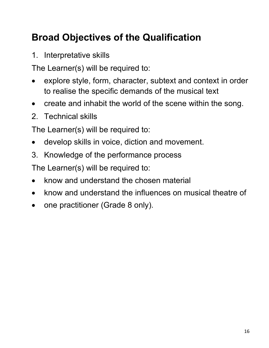# **Broad Objectives of the Qualification**

1. Interpretative skills

The Learner(s) will be required to:

- explore style, form, character, subtext and context in order to realise the specific demands of the musical text
- create and inhabit the world of the scene within the song.
- 2. Technical skills

The Learner(s) will be required to:

- develop skills in voice, diction and movement.
- 3. Knowledge of the performance process

The Learner(s) will be required to:

- know and understand the chosen material
- know and understand the influences on musical theatre of
- one practitioner (Grade 8 only).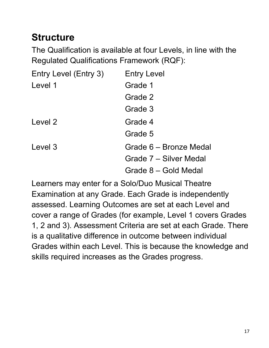## **Structure**

The Qualification is available at four Levels, in line with the Regulated Qualifications Framework (RQF):

| Entry Level (Entry 3) | <b>Entry Level</b>     |
|-----------------------|------------------------|
| Level 1               | Grade 1                |
|                       | Grade 2                |
|                       | Grade 3                |
| Level 2               | Grade 4                |
|                       | Grade 5                |
| Level 3               | Grade 6 – Bronze Medal |
|                       | Grade 7 – Silver Medal |
|                       | Grade 8 – Gold Medal   |

Learners may enter for a Solo/Duo Musical Theatre Examination at any Grade. Each Grade is independently assessed. Learning Outcomes are set at each Level and cover a range of Grades (for example, Level 1 covers Grades 1, 2 and 3). Assessment Criteria are set at each Grade. There is a qualitative difference in outcome between individual Grades within each Level. This is because the knowledge and skills required increases as the Grades progress.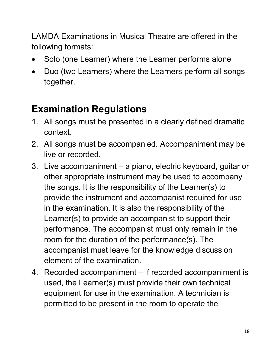LAMDA Examinations in Musical Theatre are offered in the following formats:

- Solo (one Learner) where the Learner performs alone
- Duo (two Learners) where the Learners perform all songs together.

# **Examination Regulations**

- 1. All songs must be presented in a clearly defined dramatic context.
- 2. All songs must be accompanied. Accompaniment may be live or recorded.
- 3. Live accompaniment a piano, electric keyboard, guitar or other appropriate instrument may be used to accompany the songs. It is the responsibility of the Learner(s) to provide the instrument and accompanist required for use in the examination. It is also the responsibility of the Learner(s) to provide an accompanist to support their performance. The accompanist must only remain in the room for the duration of the performance(s). The accompanist must leave for the knowledge discussion element of the examination.
- 4. Recorded accompaniment if recorded accompaniment is used, the Learner(s) must provide their own technical equipment for use in the examination. A technician is permitted to be present in the room to operate the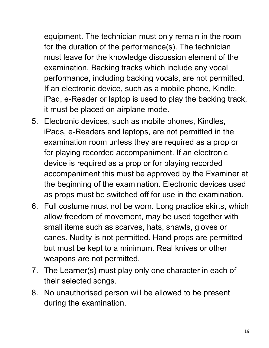equipment. The technician must only remain in the room for the duration of the performance(s). The technician must leave for the knowledge discussion element of the examination. Backing tracks which include any vocal performance, including backing vocals, are not permitted. If an electronic device, such as a mobile phone, Kindle, iPad, e-Reader or laptop is used to play the backing track, it must be placed on airplane mode.

- 5. Electronic devices, such as mobile phones, Kindles, iPads, e-Readers and laptops, are not permitted in the examination room unless they are required as a prop or for playing recorded accompaniment. If an electronic device is required as a prop or for playing recorded accompaniment this must be approved by the Examiner at the beginning of the examination. Electronic devices used as props must be switched off for use in the examination.
- 6. Full costume must not be worn. Long practice skirts, which allow freedom of movement, may be used together with small items such as scarves, hats, shawls, gloves or canes. Nudity is not permitted. Hand props are permitted but must be kept to a minimum. Real knives or other weapons are not permitted.
- 7. The Learner(s) must play only one character in each of their selected songs.
- 8. No unauthorised person will be allowed to be present during the examination.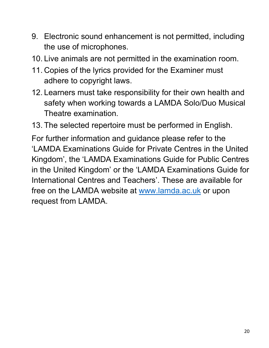- 9. Electronic sound enhancement is not permitted, including the use of microphones.
- 10. Live animals are not permitted in the examination room.
- 11. Copies of the lyrics provided for the Examiner must adhere to copyright laws.
- 12. Learners must take responsibility for their own health and safety when working towards a LAMDA Solo/Duo Musical Theatre examination.
- 13. The selected repertoire must be performed in English.

For further information and guidance please refer to the 'LAMDA Examinations Guide for Private Centres in the United Kingdom', the 'LAMDA Examinations Guide for Public Centres in the United Kingdom' or the 'LAMDA Examinations Guide for International Centres and Teachers'. These are available for free on the LAMDA website at www.lamda.ac.uk or upon request from LAMDA.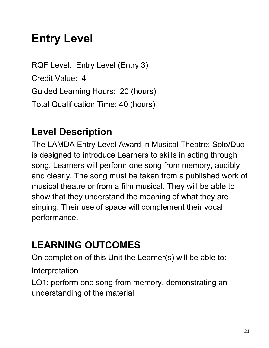# **Entry Level**

RQF Level: Entry Level (Entry 3) Credit Value: 4 Guided Learning Hours: 20 (hours) Total Qualification Time: 40 (hours)

### **Level Description**

The LAMDA Entry Level Award in Musical Theatre: Solo/Duo is designed to introduce Learners to skills in acting through song. Learners will perform one song from memory, audibly and clearly. The song must be taken from a published work of musical theatre or from a film musical. They will be able to show that they understand the meaning of what they are singing. Their use of space will complement their vocal performance.

# **LEARNING OUTCOMES**

On completion of this Unit the Learner(s) will be able to:

Interpretation

LO1: perform one song from memory, demonstrating an understanding of the material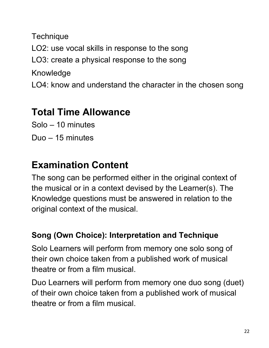**Technique** LO2: use vocal skills in response to the song LO3: create a physical response to the song Knowledge LO4: know and understand the character in the chosen song

### **Total Time Allowance**

Solo – 10 minutes

Duo – 15 minutes

## **Examination Content**

The song can be performed either in the original context of the musical or in a context devised by the Learner(s). The Knowledge questions must be answered in relation to the original context of the musical.

#### **Song (Own Choice): Interpretation and Technique**

Solo Learners will perform from memory one solo song of their own choice taken from a published work of musical theatre or from a film musical.

Duo Learners will perform from memory one duo song (duet) of their own choice taken from a published work of musical theatre or from a film musical.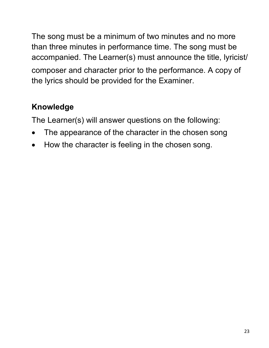The song must be a minimum of two minutes and no more than three minutes in performance time. The song must be accompanied. The Learner(s) must announce the title, lyricist/ composer and character prior to the performance. A copy of the lyrics should be provided for the Examiner.

### **Knowledge**

The Learner(s) will answer questions on the following:

- The appearance of the character in the chosen song
- How the character is feeling in the chosen song.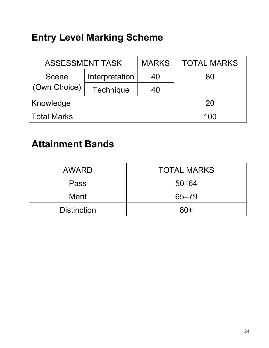# **Entry Level Marking Scheme**

| <b>ASSESSMENT TASK</b> |                | <b>MARKS</b> | <b>TOTAL MARKS</b> |
|------------------------|----------------|--------------|--------------------|
| Scene                  | Interpretation | 40           | 80                 |
| (Own Choice)           | Technique      | 40           |                    |
| Knowledge              |                | 20           |                    |
| <b>Total Marks</b>     |                | 100          |                    |

### **Attainment Bands**

| <b>AWARD</b>       | <b>TOTAL MARKS</b> |
|--------------------|--------------------|
| Pass               | $50 - 64$          |
| <b>Merit</b>       | $65 - 79$          |
| <b>Distinction</b> | $80+$              |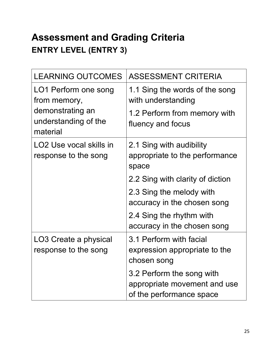# **Assessment and Grading Criteria ENTRY LEVEL (ENTRY 3)**

| <b>LEARNING OUTCOMES</b>                                    | <b>ASSESSMENT CRITERIA</b>                                                            |
|-------------------------------------------------------------|---------------------------------------------------------------------------------------|
| LO1 Perform one song<br>from memory,                        | 1.1 Sing the words of the song<br>with understanding                                  |
| demonstrating an<br>understanding of the<br>material        | 1.2 Perform from memory with<br>fluency and focus                                     |
| LO <sub>2</sub> Use vocal skills in<br>response to the song | 2.1 Sing with audibility<br>appropriate to the performance<br>space                   |
|                                                             | 2.2 Sing with clarity of diction                                                      |
|                                                             | 2.3 Sing the melody with<br>accuracy in the chosen song                               |
|                                                             | 2.4 Sing the rhythm with<br>accuracy in the chosen song                               |
| LO3 Create a physical<br>response to the song               | 3.1 Perform with facial<br>expression appropriate to the<br>chosen song               |
|                                                             | 3.2 Perform the song with<br>appropriate movement and use<br>of the performance space |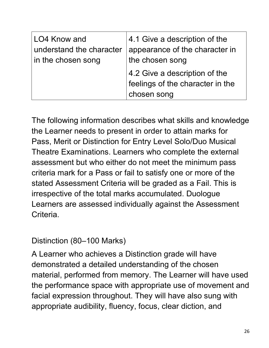| appearance of the character in<br>the chosen song                                |
|----------------------------------------------------------------------------------|
| 4.2 Give a description of the<br>feelings of the character in the<br>chosen song |
|                                                                                  |

The following information describes what skills and knowledge the Learner needs to present in order to attain marks for Pass, Merit or Distinction for Entry Level Solo/Duo Musical Theatre Examinations. Learners who complete the external assessment but who either do not meet the minimum pass criteria mark for a Pass or fail to satisfy one or more of the stated Assessment Criteria will be graded as a Fail. This is irrespective of the total marks accumulated. Duologue Learners are assessed individually against the Assessment Criteria.

Distinction (80–100 Marks)

A Learner who achieves a Distinction grade will have demonstrated a detailed understanding of the chosen material, performed from memory. The Learner will have used the performance space with appropriate use of movement and facial expression throughout. They will have also sung with appropriate audibility, fluency, focus, clear diction, and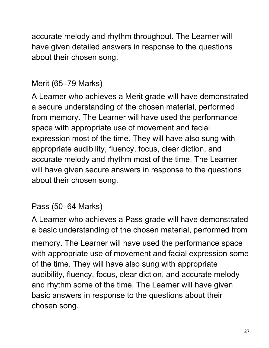accurate melody and rhythm throughout. The Learner will have given detailed answers in response to the questions about their chosen song.

### Merit (65–79 Marks)

A Learner who achieves a Merit grade will have demonstrated a secure understanding of the chosen material, performed from memory. The Learner will have used the performance space with appropriate use of movement and facial expression most of the time. They will have also sung with appropriate audibility, fluency, focus, clear diction, and accurate melody and rhythm most of the time. The Learner will have given secure answers in response to the questions about their chosen song.

#### Pass (50–64 Marks)

A Learner who achieves a Pass grade will have demonstrated a basic understanding of the chosen material, performed from memory. The Learner will have used the performance space with appropriate use of movement and facial expression some of the time. They will have also sung with appropriate audibility, fluency, focus, clear diction, and accurate melody and rhythm some of the time. The Learner will have given basic answers in response to the questions about their chosen song.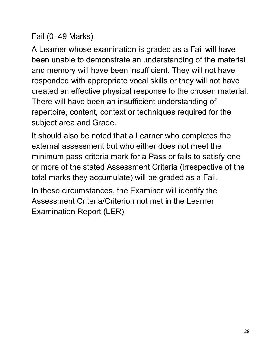#### Fail (0–49 Marks)

A Learner whose examination is graded as a Fail will have been unable to demonstrate an understanding of the material and memory will have been insufficient. They will not have responded with appropriate vocal skills or they will not have created an effective physical response to the chosen material. There will have been an insufficient understanding of repertoire, content, context or techniques required for the subject area and Grade.

It should also be noted that a Learner who completes the external assessment but who either does not meet the minimum pass criteria mark for a Pass or fails to satisfy one or more of the stated Assessment Criteria (irrespective of the total marks they accumulate) will be graded as a Fail.

In these circumstances, the Examiner will identify the Assessment Criteria/Criterion not met in the Learner Examination Report (LER).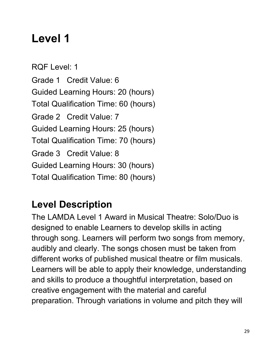# **Level 1**

RQF Level: 1 Grade 1 Credit Value: 6 Guided Learning Hours: 20 (hours) Total Qualification Time: 60 (hours) Grade 2 Credit Value: 7 Guided Learning Hours: 25 (hours) Total Qualification Time: 70 (hours) Grade 3 Credit Value: 8 Guided Learning Hours: 30 (hours) Total Qualification Time: 80 (hours)

# **Level Description**

The LAMDA Level 1 Award in Musical Theatre: Solo/Duo is designed to enable Learners to develop skills in acting through song. Learners will perform two songs from memory, audibly and clearly. The songs chosen must be taken from different works of published musical theatre or film musicals. Learners will be able to apply their knowledge, understanding and skills to produce a thoughtful interpretation, based on creative engagement with the material and careful preparation. Through variations in volume and pitch they will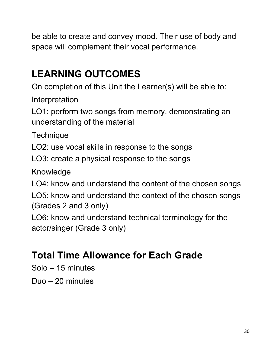be able to create and convey mood. Their use of body and space will complement their vocal performance.

# **LEARNING OUTCOMES**

On completion of this Unit the Learner(s) will be able to:

Interpretation

LO1: perform two songs from memory, demonstrating an understanding of the material

**Technique** 

LO2: use vocal skills in response to the songs

LO3: create a physical response to the songs

Knowledge

LO4: know and understand the content of the chosen songs

LO5: know and understand the context of the chosen songs (Grades 2 and 3 only)

LO6: know and understand technical terminology for the actor/singer (Grade 3 only)

# **Total Time Allowance for Each Grade**

Solo – 15 minutes

Duo – 20 minutes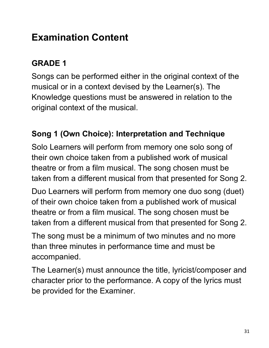# **Examination Content**

### **GRADE 1**

Songs can be performed either in the original context of the musical or in a context devised by the Learner(s). The Knowledge questions must be answered in relation to the original context of the musical.

#### **Song 1 (Own Choice): Interpretation and Technique**

Solo Learners will perform from memory one solo song of their own choice taken from a published work of musical theatre or from a film musical. The song chosen must be taken from a different musical from that presented for Song 2.

Duo Learners will perform from memory one duo song (duet) of their own choice taken from a published work of musical theatre or from a film musical. The song chosen must be taken from a different musical from that presented for Song 2.

The song must be a minimum of two minutes and no more than three minutes in performance time and must be accompanied.

The Learner(s) must announce the title, lyricist/composer and character prior to the performance. A copy of the lyrics must be provided for the Examiner.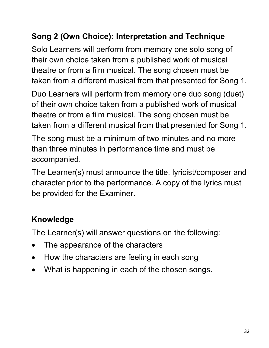### **Song 2 (Own Choice): Interpretation and Technique**

Solo Learners will perform from memory one solo song of their own choice taken from a published work of musical theatre or from a film musical. The song chosen must be taken from a different musical from that presented for Song 1.

Duo Learners will perform from memory one duo song (duet) of their own choice taken from a published work of musical theatre or from a film musical. The song chosen must be taken from a different musical from that presented for Song 1.

The song must be a minimum of two minutes and no more than three minutes in performance time and must be accompanied.

The Learner(s) must announce the title, lyricist/composer and character prior to the performance. A copy of the lyrics must be provided for the Examiner.

### **Knowledge**

The Learner(s) will answer questions on the following:

- The appearance of the characters
- How the characters are feeling in each song
- What is happening in each of the chosen songs.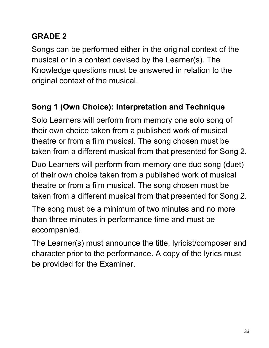### **GRADE 2**

Songs can be performed either in the original context of the musical or in a context devised by the Learner(s). The Knowledge questions must be answered in relation to the original context of the musical.

### **Song 1 (Own Choice): Interpretation and Technique**

Solo Learners will perform from memory one solo song of their own choice taken from a published work of musical theatre or from a film musical. The song chosen must be taken from a different musical from that presented for Song 2.

Duo Learners will perform from memory one duo song (duet) of their own choice taken from a published work of musical theatre or from a film musical. The song chosen must be taken from a different musical from that presented for Song 2.

The song must be a minimum of two minutes and no more than three minutes in performance time and must be accompanied.

The Learner(s) must announce the title, lyricist/composer and character prior to the performance. A copy of the lyrics must be provided for the Examiner.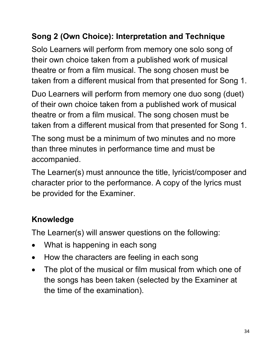### **Song 2 (Own Choice): Interpretation and Technique**

Solo Learners will perform from memory one solo song of their own choice taken from a published work of musical theatre or from a film musical. The song chosen must be taken from a different musical from that presented for Song 1.

Duo Learners will perform from memory one duo song (duet) of their own choice taken from a published work of musical theatre or from a film musical. The song chosen must be taken from a different musical from that presented for Song 1.

The song must be a minimum of two minutes and no more than three minutes in performance time and must be accompanied.

The Learner(s) must announce the title, lyricist/composer and character prior to the performance. A copy of the lyrics must be provided for the Examiner.

### **Knowledge**

The Learner(s) will answer questions on the following:

- What is happening in each song
- How the characters are feeling in each song
- The plot of the musical or film musical from which one of the songs has been taken (selected by the Examiner at the time of the examination).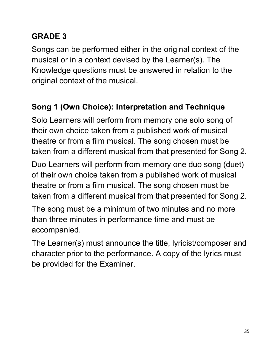### **GRADE 3**

Songs can be performed either in the original context of the musical or in a context devised by the Learner(s). The Knowledge questions must be answered in relation to the original context of the musical.

### **Song 1 (Own Choice): Interpretation and Technique**

Solo Learners will perform from memory one solo song of their own choice taken from a published work of musical theatre or from a film musical. The song chosen must be taken from a different musical from that presented for Song 2.

Duo Learners will perform from memory one duo song (duet) of their own choice taken from a published work of musical theatre or from a film musical. The song chosen must be taken from a different musical from that presented for Song 2.

The song must be a minimum of two minutes and no more than three minutes in performance time and must be accompanied.

The Learner(s) must announce the title, lyricist/composer and character prior to the performance. A copy of the lyrics must be provided for the Examiner.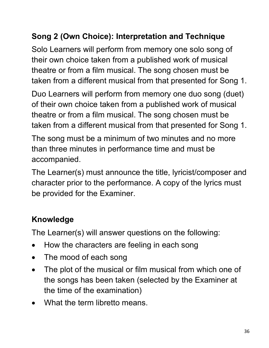### **Song 2 (Own Choice): Interpretation and Technique**

Solo Learners will perform from memory one solo song of their own choice taken from a published work of musical theatre or from a film musical. The song chosen must be taken from a different musical from that presented for Song 1.

Duo Learners will perform from memory one duo song (duet) of their own choice taken from a published work of musical theatre or from a film musical. The song chosen must be taken from a different musical from that presented for Song 1.

The song must be a minimum of two minutes and no more than three minutes in performance time and must be accompanied.

The Learner(s) must announce the title, lyricist/composer and character prior to the performance. A copy of the lyrics must be provided for the Examiner.

### **Knowledge**

The Learner(s) will answer questions on the following:

- How the characters are feeling in each song
- The mood of each song
- The plot of the musical or film musical from which one of the songs has been taken (selected by the Examiner at the time of the examination)
- What the term libretto means.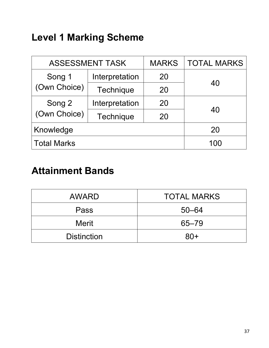### **Level 1 Marking Scheme**

| <b>ASSESSMENT TASK</b> |                | <b>MARKS</b> | <b>TOTAL MARKS</b> |  |
|------------------------|----------------|--------------|--------------------|--|
| Song 1                 | Interpretation | 20           |                    |  |
| (Own Choice)           | Technique      | 20           | 40                 |  |
| Song 2                 | Interpretation | 20           | 40                 |  |
| (Own Choice)           | Technique      | 20           |                    |  |
| Knowledge              |                |              | 20                 |  |
| <b>Total Marks</b>     |                |              | 100                |  |

### **Attainment Bands**

| <b>AWARD</b>       | <b>TOTAL MARKS</b> |
|--------------------|--------------------|
| Pass               | $50 - 64$          |
| <b>Merit</b>       | $65 - 79$          |
| <b>Distinction</b> | $80+$              |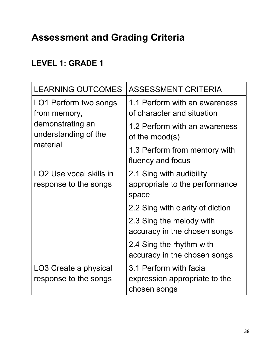#### **LEVEL 1: GRADE 1**

| <b>LEARNING OUTCOMES</b>                                     | <b>ASSESSMENT CRITERIA</b>                                               |
|--------------------------------------------------------------|--------------------------------------------------------------------------|
| LO1 Perform two songs<br>from memory,                        | 1.1 Perform with an awareness<br>of character and situation              |
| demonstrating an<br>understanding of the<br>material         | 1.2 Perform with an awareness<br>of the mood(s)                          |
|                                                              | 1.3 Perform from memory with<br>fluency and focus                        |
| LO <sub>2</sub> Use vocal skills in<br>response to the songs | 2.1 Sing with audibility<br>appropriate to the performance<br>space      |
|                                                              | 2.2 Sing with clarity of diction                                         |
|                                                              | 2.3 Sing the melody with<br>accuracy in the chosen songs                 |
|                                                              | 2.4 Sing the rhythm with<br>accuracy in the chosen songs                 |
| LO3 Create a physical<br>response to the songs               | 3.1 Perform with facial<br>expression appropriate to the<br>chosen songs |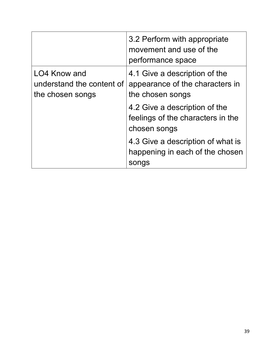|                                                               | 3.2 Perform with appropriate<br>movement and use of the<br>performance space         |
|---------------------------------------------------------------|--------------------------------------------------------------------------------------|
| LO4 Know and<br>understand the content of<br>the chosen songs | 4.1 Give a description of the<br>appearance of the characters in<br>the chosen songs |
|                                                               | 4.2 Give a description of the<br>feelings of the characters in the<br>chosen songs   |
|                                                               | 4.3 Give a description of what is<br>happening in each of the chosen<br>songs        |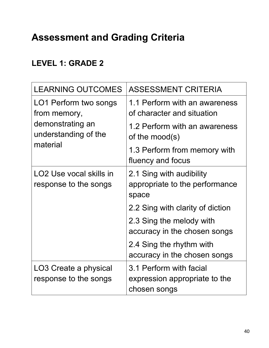#### **LEVEL 1: GRADE 2**

| <b>LEARNING OUTCOMES</b>                                     | <b>ASSESSMENT CRITERIA</b>                                               |
|--------------------------------------------------------------|--------------------------------------------------------------------------|
| LO1 Perform two songs<br>from memory,                        | 1.1 Perform with an awareness<br>of character and situation              |
| demonstrating an<br>understanding of the<br>material         | 1.2 Perform with an awareness<br>of the mood(s)                          |
|                                                              | 1.3 Perform from memory with<br>fluency and focus                        |
| LO <sub>2</sub> Use vocal skills in<br>response to the songs | 2.1 Sing with audibility<br>appropriate to the performance<br>space      |
|                                                              | 2.2 Sing with clarity of diction                                         |
|                                                              | 2.3 Sing the melody with<br>accuracy in the chosen songs                 |
|                                                              | 2.4 Sing the rhythm with<br>accuracy in the chosen songs                 |
| LO3 Create a physical<br>response to the songs               | 3.1 Perform with facial<br>expression appropriate to the<br>chosen songs |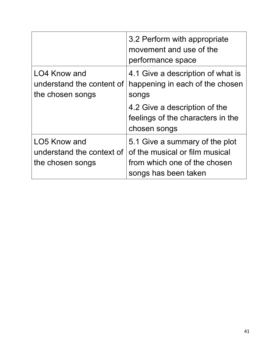|                                                               | 3.2 Perform with appropriate<br>movement and use of the<br>performance space                                             |
|---------------------------------------------------------------|--------------------------------------------------------------------------------------------------------------------------|
| LO4 Know and<br>understand the content of<br>the chosen songs | 4.1 Give a description of what is<br>happening in each of the chosen<br>songs                                            |
|                                                               | 4.2 Give a description of the<br>feelings of the characters in the<br>chosen songs                                       |
| LO5 Know and<br>understand the context of<br>the chosen songs | 5.1 Give a summary of the plot<br>of the musical or film musical<br>from which one of the chosen<br>songs has been taken |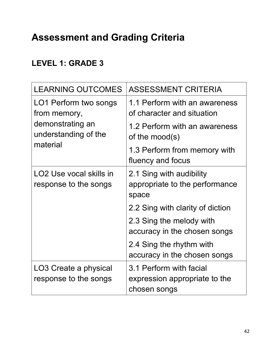#### **LEVEL 1: GRADE 3**

| <b>LEARNING OUTCOMES</b>                                     | <b>ASSESSMENT CRITERIA</b>                                               |
|--------------------------------------------------------------|--------------------------------------------------------------------------|
| LO1 Perform two songs<br>from memory,                        | 1.1 Perform with an awareness<br>of character and situation              |
| demonstrating an<br>understanding of the<br>material         | 1.2 Perform with an awareness<br>of the mood(s)                          |
|                                                              | 1.3 Perform from memory with<br>fluency and focus                        |
| LO <sub>2</sub> Use vocal skills in<br>response to the songs | 2.1 Sing with audibility<br>appropriate to the performance<br>space      |
|                                                              | 2.2 Sing with clarity of diction                                         |
|                                                              | 2.3 Sing the melody with<br>accuracy in the chosen songs                 |
|                                                              | 2.4 Sing the rhythm with<br>accuracy in the chosen songs                 |
| LO3 Create a physical<br>response to the songs               | 3.1 Perform with facial<br>expression appropriate to the<br>chosen songs |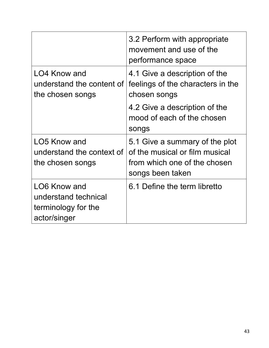|                                                                             | 3.2 Perform with appropriate<br>movement and use of the<br>performance space                                         |
|-----------------------------------------------------------------------------|----------------------------------------------------------------------------------------------------------------------|
| LO4 Know and<br>understand the content of<br>the chosen songs               | 4.1 Give a description of the<br>feelings of the characters in the<br>chosen songs                                   |
|                                                                             | 4.2 Give a description of the<br>mood of each of the chosen<br>songs                                                 |
| LO5 Know and<br>understand the context of<br>the chosen songs               | 5.1 Give a summary of the plot<br>of the musical or film musical<br>from which one of the chosen<br>songs been taken |
| LO6 Know and<br>understand technical<br>terminology for the<br>actor/singer | 6.1 Define the term libretto                                                                                         |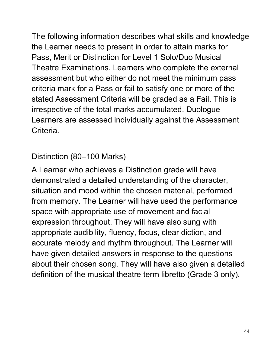The following information describes what skills and knowledge the Learner needs to present in order to attain marks for Pass, Merit or Distinction for Level 1 Solo/Duo Musical Theatre Examinations. Learners who complete the external assessment but who either do not meet the minimum pass criteria mark for a Pass or fail to satisfy one or more of the stated Assessment Criteria will be graded as a Fail. This is irrespective of the total marks accumulated. Duologue Learners are assessed individually against the Assessment Criteria.

Distinction (80–100 Marks)

A Learner who achieves a Distinction grade will have demonstrated a detailed understanding of the character, situation and mood within the chosen material, performed from memory. The Learner will have used the performance space with appropriate use of movement and facial expression throughout. They will have also sung with appropriate audibility, fluency, focus, clear diction, and accurate melody and rhythm throughout. The Learner will have given detailed answers in response to the questions about their chosen song. They will have also given a detailed definition of the musical theatre term libretto (Grade 3 only).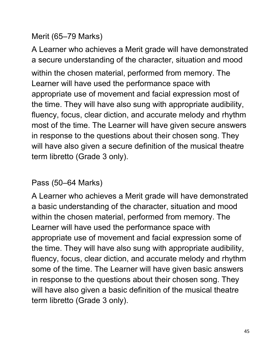#### Merit (65–79 Marks)

A Learner who achieves a Merit grade will have demonstrated a secure understanding of the character, situation and mood within the chosen material, performed from memory. The Learner will have used the performance space with appropriate use of movement and facial expression most of the time. They will have also sung with appropriate audibility, fluency, focus, clear diction, and accurate melody and rhythm most of the time. The Learner will have given secure answers in response to the questions about their chosen song. They will have also given a secure definition of the musical theatre term libretto (Grade 3 only).

#### Pass (50–64 Marks)

A Learner who achieves a Merit grade will have demonstrated a basic understanding of the character, situation and mood within the chosen material, performed from memory. The Learner will have used the performance space with appropriate use of movement and facial expression some of the time. They will have also sung with appropriate audibility, fluency, focus, clear diction, and accurate melody and rhythm some of the time. The Learner will have given basic answers in response to the questions about their chosen song. They will have also given a basic definition of the musical theatre term libretto (Grade 3 only).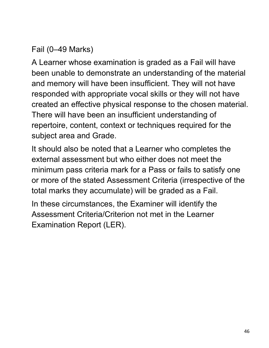#### Fail (0–49 Marks)

A Learner whose examination is graded as a Fail will have been unable to demonstrate an understanding of the material and memory will have been insufficient. They will not have responded with appropriate vocal skills or they will not have created an effective physical response to the chosen material. There will have been an insufficient understanding of repertoire, content, context or techniques required for the subject area and Grade.

It should also be noted that a Learner who completes the external assessment but who either does not meet the minimum pass criteria mark for a Pass or fails to satisfy one or more of the stated Assessment Criteria (irrespective of the total marks they accumulate) will be graded as a Fail.

In these circumstances, the Examiner will identify the Assessment Criteria/Criterion not met in the Learner Examination Report (LER).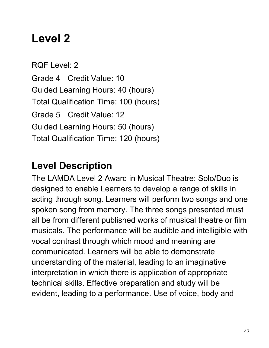# **Level 2**

RQF Level: 2 Grade 4 Credit Value: 10 Guided Learning Hours: 40 (hours) Total Qualification Time: 100 (hours) Grade 5 Credit Value: 12 Guided Learning Hours: 50 (hours) Total Qualification Time: 120 (hours)

### **Level Description**

The LAMDA Level 2 Award in Musical Theatre: Solo/Duo is designed to enable Learners to develop a range of skills in acting through song. Learners will perform two songs and one spoken song from memory. The three songs presented must all be from different published works of musical theatre or film musicals. The performance will be audible and intelligible with vocal contrast through which mood and meaning are communicated. Learners will be able to demonstrate understanding of the material, leading to an imaginative interpretation in which there is application of appropriate technical skills. Effective preparation and study will be evident, leading to a performance. Use of voice, body and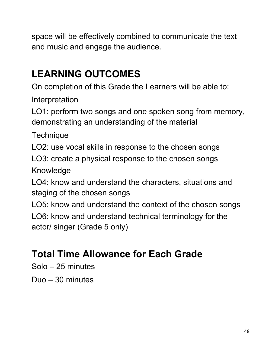space will be effectively combined to communicate the text and music and engage the audience.

## **LEARNING OUTCOMES**

On completion of this Grade the Learners will be able to:

Interpretation

LO1: perform two songs and one spoken song from memory, demonstrating an understanding of the material

**Technique** 

LO2: use vocal skills in response to the chosen songs

LO3: create a physical response to the chosen songs

Knowledge

LO4: know and understand the characters, situations and staging of the chosen songs

LO5: know and understand the context of the chosen songs LO6: know and understand technical terminology for the actor/ singer (Grade 5 only)

## **Total Time Allowance for Each Grade**

Solo – 25 minutes

Duo – 30 minutes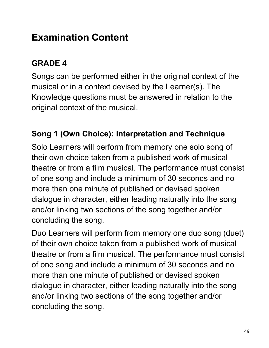### **Examination Content**

#### **GRADE 4**

Songs can be performed either in the original context of the musical or in a context devised by the Learner(s). The Knowledge questions must be answered in relation to the original context of the musical.

#### **Song 1 (Own Choice): Interpretation and Technique**

Solo Learners will perform from memory one solo song of their own choice taken from a published work of musical theatre or from a film musical. The performance must consist of one song and include a minimum of 30 seconds and no more than one minute of published or devised spoken dialogue in character, either leading naturally into the song and/or linking two sections of the song together and/or concluding the song.

Duo Learners will perform from memory one duo song (duet) of their own choice taken from a published work of musical theatre or from a film musical. The performance must consist of one song and include a minimum of 30 seconds and no more than one minute of published or devised spoken dialogue in character, either leading naturally into the song and/or linking two sections of the song together and/or concluding the song.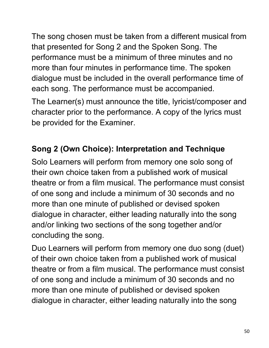The song chosen must be taken from a different musical from that presented for Song 2 and the Spoken Song. The performance must be a minimum of three minutes and no more than four minutes in performance time. The spoken dialogue must be included in the overall performance time of each song. The performance must be accompanied.

The Learner(s) must announce the title, lyricist/composer and character prior to the performance. A copy of the lyrics must be provided for the Examiner.

#### **Song 2 (Own Choice): Interpretation and Technique**

Solo Learners will perform from memory one solo song of their own choice taken from a published work of musical theatre or from a film musical. The performance must consist of one song and include a minimum of 30 seconds and no more than one minute of published or devised spoken dialogue in character, either leading naturally into the song and/or linking two sections of the song together and/or concluding the song.

Duo Learners will perform from memory one duo song (duet) of their own choice taken from a published work of musical theatre or from a film musical. The performance must consist of one song and include a minimum of 30 seconds and no more than one minute of published or devised spoken dialogue in character, either leading naturally into the song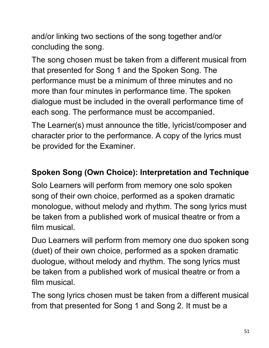and/or linking two sections of the song together and/or concluding the song.

The song chosen must be taken from a different musical from that presented for Song 1 and the Spoken Song. The performance must be a minimum of three minutes and no more than four minutes in performance time. The spoken dialogue must be included in the overall performance time of each song. The performance must be accompanied.

The Learner(s) must announce the title, lyricist/composer and character prior to the performance. A copy of the lyrics must be provided for the Examiner.

#### **Spoken Song (Own Choice): Interpretation and Technique**

Solo Learners will perform from memory one solo spoken song of their own choice, performed as a spoken dramatic monologue, without melody and rhythm. The song lyrics must be taken from a published work of musical theatre or from a film musical.

Duo Learners will perform from memory one duo spoken song (duet) of their own choice, performed as a spoken dramatic duologue, without melody and rhythm. The song lyrics must be taken from a published work of musical theatre or from a film musical.

The song lyrics chosen must be taken from a different musical from that presented for Song 1 and Song 2. It must be a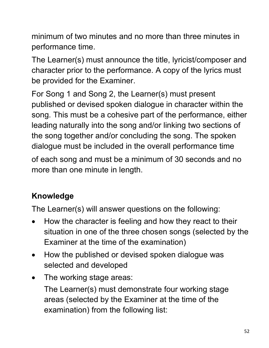minimum of two minutes and no more than three minutes in performance time.

The Learner(s) must announce the title, lyricist/composer and character prior to the performance. A copy of the lyrics must be provided for the Examiner.

For Song 1 and Song 2, the Learner(s) must present published or devised spoken dialogue in character within the song. This must be a cohesive part of the performance, either leading naturally into the song and/or linking two sections of the song together and/or concluding the song. The spoken dialogue must be included in the overall performance time

of each song and must be a minimum of 30 seconds and no more than one minute in length.

### **Knowledge**

The Learner(s) will answer questions on the following:

- How the character is feeling and how they react to their situation in one of the three chosen songs (selected by the Examiner at the time of the examination)
- How the published or devised spoken dialogue was selected and developed
- The working stage areas:

The Learner(s) must demonstrate four working stage areas (selected by the Examiner at the time of the examination) from the following list: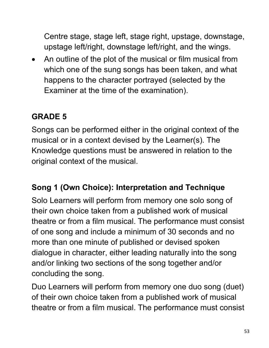Centre stage, stage left, stage right, upstage, downstage, upstage left/right, downstage left/right, and the wings.

• An outline of the plot of the musical or film musical from which one of the sung songs has been taken, and what happens to the character portrayed (selected by the Examiner at the time of the examination).

#### **GRADE 5**

Songs can be performed either in the original context of the musical or in a context devised by the Learner(s). The Knowledge questions must be answered in relation to the original context of the musical.

#### **Song 1 (Own Choice): Interpretation and Technique**

Solo Learners will perform from memory one solo song of their own choice taken from a published work of musical theatre or from a film musical. The performance must consist of one song and include a minimum of 30 seconds and no more than one minute of published or devised spoken dialogue in character, either leading naturally into the song and/or linking two sections of the song together and/or concluding the song.

Duo Learners will perform from memory one duo song (duet) of their own choice taken from a published work of musical theatre or from a film musical. The performance must consist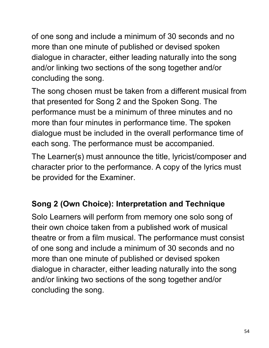of one song and include a minimum of 30 seconds and no more than one minute of published or devised spoken dialogue in character, either leading naturally into the song and/or linking two sections of the song together and/or concluding the song.

The song chosen must be taken from a different musical from that presented for Song 2 and the Spoken Song. The performance must be a minimum of three minutes and no more than four minutes in performance time. The spoken dialogue must be included in the overall performance time of each song. The performance must be accompanied.

The Learner(s) must announce the title, lyricist/composer and character prior to the performance. A copy of the lyrics must be provided for the Examiner.

#### **Song 2 (Own Choice): Interpretation and Technique**

Solo Learners will perform from memory one solo song of their own choice taken from a published work of musical theatre or from a film musical. The performance must consist of one song and include a minimum of 30 seconds and no more than one minute of published or devised spoken dialogue in character, either leading naturally into the song and/or linking two sections of the song together and/or concluding the song.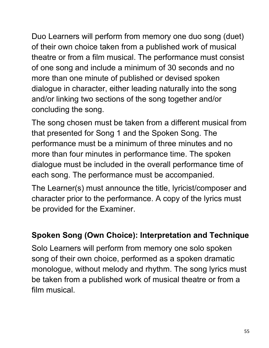Duo Learners will perform from memory one duo song (duet) of their own choice taken from a published work of musical theatre or from a film musical. The performance must consist of one song and include a minimum of 30 seconds and no more than one minute of published or devised spoken dialogue in character, either leading naturally into the song and/or linking two sections of the song together and/or concluding the song.

The song chosen must be taken from a different musical from that presented for Song 1 and the Spoken Song. The performance must be a minimum of three minutes and no more than four minutes in performance time. The spoken dialogue must be included in the overall performance time of each song. The performance must be accompanied.

The Learner(s) must announce the title, lyricist/composer and character prior to the performance. A copy of the lyrics must be provided for the Examiner.

#### **Spoken Song (Own Choice): Interpretation and Technique**

Solo Learners will perform from memory one solo spoken song of their own choice, performed as a spoken dramatic monologue, without melody and rhythm. The song lyrics must be taken from a published work of musical theatre or from a film musical.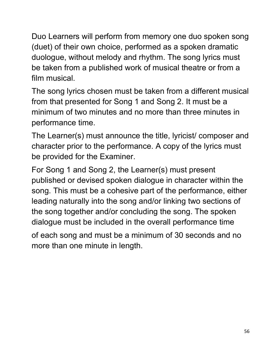Duo Learners will perform from memory one duo spoken song (duet) of their own choice, performed as a spoken dramatic duologue, without melody and rhythm. The song lyrics must be taken from a published work of musical theatre or from a film musical.

The song lyrics chosen must be taken from a different musical from that presented for Song 1 and Song 2. It must be a minimum of two minutes and no more than three minutes in performance time.

The Learner(s) must announce the title, lyricist/ composer and character prior to the performance. A copy of the lyrics must be provided for the Examiner.

For Song 1 and Song 2, the Learner(s) must present published or devised spoken dialogue in character within the song. This must be a cohesive part of the performance, either leading naturally into the song and/or linking two sections of the song together and/or concluding the song. The spoken dialogue must be included in the overall performance time

of each song and must be a minimum of 30 seconds and no more than one minute in length.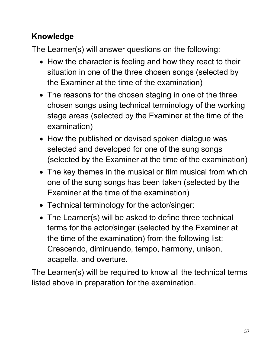### **Knowledge**

The Learner(s) will answer questions on the following:

- How the character is feeling and how they react to their situation in one of the three chosen songs (selected by the Examiner at the time of the examination)
- The reasons for the chosen staging in one of the three chosen songs using technical terminology of the working stage areas (selected by the Examiner at the time of the examination)
- How the published or devised spoken dialogue was selected and developed for one of the sung songs (selected by the Examiner at the time of the examination)
- The key themes in the musical or film musical from which one of the sung songs has been taken (selected by the Examiner at the time of the examination)
- Technical terminology for the actor/singer:
- The Learner(s) will be asked to define three technical terms for the actor/singer (selected by the Examiner at the time of the examination) from the following list: Crescendo, diminuendo, tempo, harmony, unison, acapella, and overture.

The Learner(s) will be required to know all the technical terms listed above in preparation for the examination.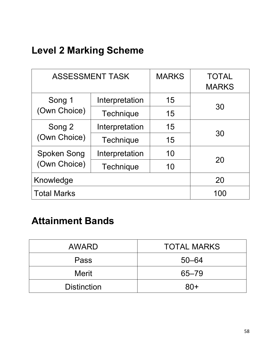## **Level 2 Marking Scheme**

| <b>ASSESSMENT TASK</b> |                  | <b>MARKS</b> | <b>TOTAL</b><br><b>MARKS</b> |  |
|------------------------|------------------|--------------|------------------------------|--|
| Song 1                 | Interpretation   | 15           |                              |  |
| (Own Choice)           | Technique        | 15           | 30                           |  |
| Song 2                 | Interpretation   | 15           | 30                           |  |
| (Own Choice)           | <b>Technique</b> | 15           |                              |  |
| Spoken Song            | Interpretation   |              |                              |  |
| (Own Choice)           | <b>Technique</b> | 10           | 20                           |  |
| Knowledge              |                  |              | 20                           |  |
| <b>Total Marks</b>     |                  |              | 100                          |  |

### **Attainment Bands**

| <b>AWARD</b>       | <b>TOTAL MARKS</b> |
|--------------------|--------------------|
| Pass               | $50 - 64$          |
| <b>Merit</b>       | $65 - 79$          |
| <b>Distinction</b> | $80+$              |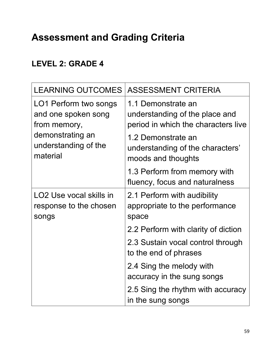#### **LEVEL 2: GRADE 4**

| <b>LEARNING OUTCOMES</b>                                               | <b>ASSESSMENT CRITERIA</b>                                                                  |
|------------------------------------------------------------------------|---------------------------------------------------------------------------------------------|
| LO1 Perform two songs<br>and one spoken song<br>from memory,           | 1.1 Demonstrate an<br>understanding of the place and<br>period in which the characters live |
| demonstrating an<br>understanding of the<br>material                   | 1.2 Demonstrate an<br>understanding of the characters'<br>moods and thoughts                |
|                                                                        | 1.3 Perform from memory with<br>fluency, focus and naturalness                              |
| LO <sub>2</sub> Use vocal skills in<br>response to the chosen<br>songs | 2.1 Perform with audibility<br>appropriate to the performance<br>space                      |
|                                                                        | 2.2 Perform with clarity of diction                                                         |
|                                                                        | 2.3 Sustain vocal control through<br>to the end of phrases                                  |
|                                                                        | 2.4 Sing the melody with<br>accuracy in the sung songs                                      |
|                                                                        | 2.5 Sing the rhythm with accuracy<br>in the sung songs                                      |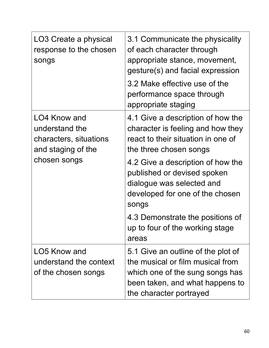| LO3 Create a physical<br>response to the chosen<br>songs                                       | 3.1 Communicate the physicality<br>of each character through<br>appropriate stance, movement,<br>gesture(s) and facial expression<br>3.2 Make effective use of the<br>performance space through<br>appropriate staging                  |
|------------------------------------------------------------------------------------------------|-----------------------------------------------------------------------------------------------------------------------------------------------------------------------------------------------------------------------------------------|
| LO4 Know and<br>understand the<br>characters, situations<br>and staging of the<br>chosen songs | 4.1 Give a description of how the<br>character is feeling and how they<br>react to their situation in one of<br>the three chosen songs<br>4.2 Give a description of how the<br>published or devised spoken<br>dialogue was selected and |
|                                                                                                | developed for one of the chosen<br>songs<br>4.3 Demonstrate the positions of<br>up to four of the working stage                                                                                                                         |
|                                                                                                | areas                                                                                                                                                                                                                                   |
| LO5 Know and<br>understand the context<br>of the chosen songs                                  | 5.1 Give an outline of the plot of<br>the musical or film musical from<br>which one of the sung songs has<br>been taken, and what happens to<br>the character portrayed                                                                 |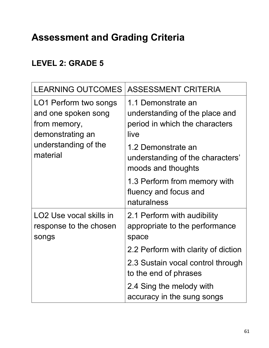#### **LEVEL 2: GRADE 5**

| <b>LEARNING OUTCOMES</b>                                                                                             | <b>ASSESSMENT CRITERIA</b>                                                                     |
|----------------------------------------------------------------------------------------------------------------------|------------------------------------------------------------------------------------------------|
| LO1 Perform two songs<br>and one spoken song<br>from memory,<br>demonstrating an<br>understanding of the<br>material | 1.1 Demonstrate an<br>understanding of the place and<br>period in which the characters<br>live |
|                                                                                                                      | 1.2 Demonstrate an<br>understanding of the characters'<br>moods and thoughts                   |
|                                                                                                                      | 1.3 Perform from memory with<br>fluency and focus and<br>naturalness                           |
| LO <sub>2</sub> Use vocal skills in<br>response to the chosen<br>songs                                               | 2.1 Perform with audibility<br>appropriate to the performance<br>space                         |
|                                                                                                                      | 2.2 Perform with clarity of diction                                                            |
|                                                                                                                      | 2.3 Sustain vocal control through<br>to the end of phrases                                     |
|                                                                                                                      | 2.4 Sing the melody with<br>accuracy in the sung songs                                         |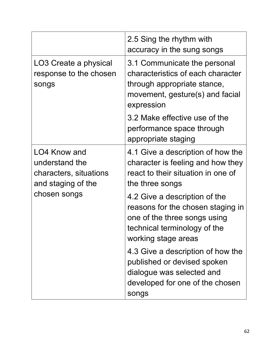|                                                                                                | 2.5 Sing the rhythm with<br>accuracy in the sung songs                                                                                                    |
|------------------------------------------------------------------------------------------------|-----------------------------------------------------------------------------------------------------------------------------------------------------------|
| LO3 Create a physical<br>response to the chosen<br>songs                                       | 3.1 Communicate the personal<br>characteristics of each character<br>through appropriate stance,<br>movement, gesture(s) and facial<br>expression         |
|                                                                                                | 3.2 Make effective use of the<br>performance space through<br>appropriate staging                                                                         |
| LO4 Know and<br>understand the<br>characters, situations<br>and staging of the<br>chosen songs | 4.1 Give a description of how the<br>character is feeling and how they<br>react to their situation in one of<br>the three songs                           |
|                                                                                                | 4.2 Give a description of the<br>reasons for the chosen staging in<br>one of the three songs using<br>technical terminology of the<br>working stage areas |
|                                                                                                | 4.3 Give a description of how the<br>published or devised spoken<br>dialogue was selected and<br>developed for one of the chosen<br>songs                 |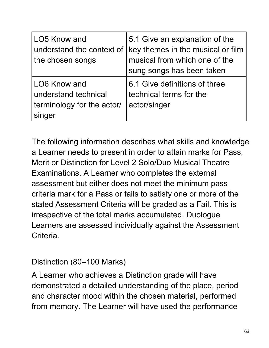| LO5 Know and<br>understand the context of<br>the chosen songs                | 5.1 Give an explanation of the<br>key themes in the musical or film<br>musical from which one of the<br>sung songs has been taken |
|------------------------------------------------------------------------------|-----------------------------------------------------------------------------------------------------------------------------------|
| LO6 Know and<br>understand technical<br>terminology for the actor/<br>singer | 6.1 Give definitions of three<br>technical terms for the<br>actor/singer                                                          |

The following information describes what skills and knowledge a Learner needs to present in order to attain marks for Pass, Merit or Distinction for Level 2 Solo/Duo Musical Theatre Examinations. A Learner who completes the external assessment but either does not meet the minimum pass criteria mark for a Pass or fails to satisfy one or more of the stated Assessment Criteria will be graded as a Fail. This is irrespective of the total marks accumulated. Duologue Learners are assessed individually against the Assessment Criteria.

#### Distinction (80–100 Marks)

A Learner who achieves a Distinction grade will have demonstrated a detailed understanding of the place, period and character mood within the chosen material, performed from memory. The Learner will have used the performance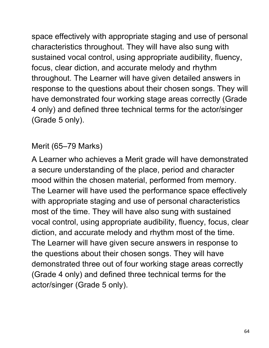space effectively with appropriate staging and use of personal characteristics throughout. They will have also sung with sustained vocal control, using appropriate audibility, fluency, focus, clear diction, and accurate melody and rhythm throughout. The Learner will have given detailed answers in response to the questions about their chosen songs. They will have demonstrated four working stage areas correctly (Grade 4 only) and defined three technical terms for the actor/singer (Grade 5 only).

#### Merit (65–79 Marks)

A Learner who achieves a Merit grade will have demonstrated a secure understanding of the place, period and character mood within the chosen material, performed from memory. The Learner will have used the performance space effectively with appropriate staging and use of personal characteristics most of the time. They will have also sung with sustained vocal control, using appropriate audibility, fluency, focus, clear diction, and accurate melody and rhythm most of the time. The Learner will have given secure answers in response to the questions about their chosen songs. They will have demonstrated three out of four working stage areas correctly (Grade 4 only) and defined three technical terms for the actor/singer (Grade 5 only).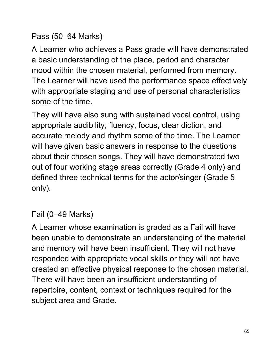Pass (50–64 Marks)

A Learner who achieves a Pass grade will have demonstrated a basic understanding of the place, period and character mood within the chosen material, performed from memory. The Learner will have used the performance space effectively with appropriate staging and use of personal characteristics some of the time.

They will have also sung with sustained vocal control, using appropriate audibility, fluency, focus, clear diction, and accurate melody and rhythm some of the time. The Learner will have given basic answers in response to the questions about their chosen songs. They will have demonstrated two out of four working stage areas correctly (Grade 4 only) and defined three technical terms for the actor/singer (Grade 5 only).

Fail (0–49 Marks)

A Learner whose examination is graded as a Fail will have been unable to demonstrate an understanding of the material and memory will have been insufficient. They will not have responded with appropriate vocal skills or they will not have created an effective physical response to the chosen material. There will have been an insufficient understanding of repertoire, content, context or techniques required for the subject area and Grade.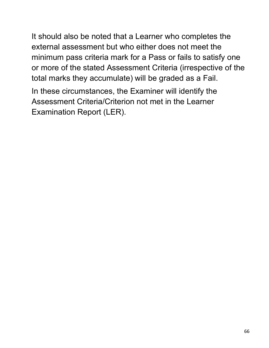It should also be noted that a Learner who completes the external assessment but who either does not meet the minimum pass criteria mark for a Pass or fails to satisfy one or more of the stated Assessment Criteria (irrespective of the total marks they accumulate) will be graded as a Fail.

In these circumstances, the Examiner will identify the Assessment Criteria/Criterion not met in the Learner Examination Report (LER).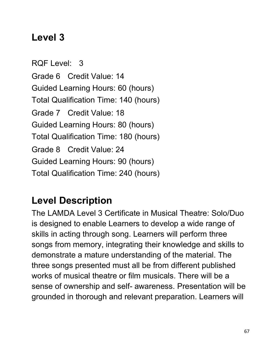### **Level 3**

RQF Level: 3 Grade 6 Credit Value: 14 Guided Learning Hours: 60 (hours) Total Qualification Time: 140 (hours) Grade 7 Credit Value: 18 Guided Learning Hours: 80 (hours) Total Qualification Time: 180 (hours) Grade 8 Credit Value: 24 Guided Learning Hours: 90 (hours) Total Qualification Time: 240 (hours)

### **Level Description**

The LAMDA Level 3 Certificate in Musical Theatre: Solo/Duo is designed to enable Learners to develop a wide range of skills in acting through song. Learners will perform three songs from memory, integrating their knowledge and skills to demonstrate a mature understanding of the material. The three songs presented must all be from different published works of musical theatre or film musicals. There will be a sense of ownership and self- awareness. Presentation will be grounded in thorough and relevant preparation. Learners will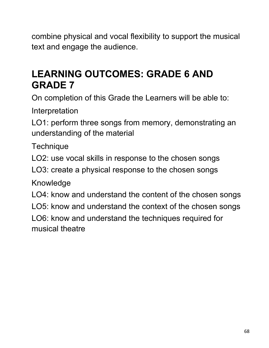combine physical and vocal flexibility to support the musical text and engage the audience.

### **LEARNING OUTCOMES: GRADE 6 AND GRADE 7**

On completion of this Grade the Learners will be able to:

Interpretation

LO1: perform three songs from memory, demonstrating an understanding of the material

**Technique** 

LO2: use vocal skills in response to the chosen songs

LO3: create a physical response to the chosen songs

Knowledge

LO4: know and understand the content of the chosen songs

LO5: know and understand the context of the chosen songs

LO6: know and understand the techniques required for musical theatre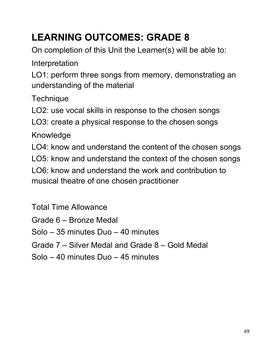## **LEARNING OUTCOMES: GRADE 8**

On completion of this Unit the Learner(s) will be able to:

Interpretation

LO1: perform three songs from memory, demonstrating an understanding of the material

**Technique** 

LO2: use vocal skills in response to the chosen songs

LO3: create a physical response to the chosen songs

Knowledge

LO4: know and understand the content of the chosen songs

LO5: know and understand the context of the chosen songs

LO6: know and understand the work and contribution to musical theatre of one chosen practitioner

Total Time Allowance

Grade 6 – Bronze Medal

Solo – 35 minutes Duo – 40 minutes

Grade 7 – Silver Medal and Grade 8 – Gold Medal

Solo – 40 minutes Duo – 45 minutes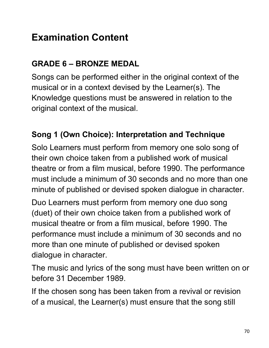## **Examination Content**

#### **GRADE 6 – BRONZE MEDAL**

Songs can be performed either in the original context of the musical or in a context devised by the Learner(s). The Knowledge questions must be answered in relation to the original context of the musical.

#### **Song 1 (Own Choice): Interpretation and Technique**

Solo Learners must perform from memory one solo song of their own choice taken from a published work of musical theatre or from a film musical, before 1990. The performance must include a minimum of 30 seconds and no more than one minute of published or devised spoken dialogue in character.

Duo Learners must perform from memory one duo song (duet) of their own choice taken from a published work of musical theatre or from a film musical, before 1990. The performance must include a minimum of 30 seconds and no more than one minute of published or devised spoken dialogue in character.

The music and lyrics of the song must have been written on or before 31 December 1989.

If the chosen song has been taken from a revival or revision of a musical, the Learner(s) must ensure that the song still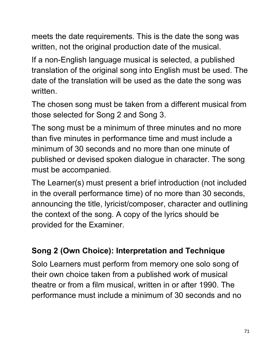meets the date requirements. This is the date the song was written, not the original production date of the musical.

If a non-English language musical is selected, a published translation of the original song into English must be used. The date of the translation will be used as the date the song was written.

The chosen song must be taken from a different musical from those selected for Song 2 and Song 3.

The song must be a minimum of three minutes and no more than five minutes in performance time and must include a minimum of 30 seconds and no more than one minute of published or devised spoken dialogue in character. The song must be accompanied.

The Learner(s) must present a brief introduction (not included in the overall performance time) of no more than 30 seconds, announcing the title, lyricist/composer, character and outlining the context of the song. A copy of the lyrics should be provided for the Examiner.

#### **Song 2 (Own Choice): Interpretation and Technique**

Solo Learners must perform from memory one solo song of their own choice taken from a published work of musical theatre or from a film musical, written in or after 1990. The performance must include a minimum of 30 seconds and no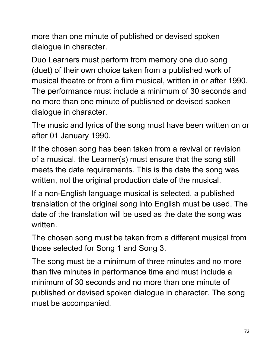more than one minute of published or devised spoken dialogue in character.

Duo Learners must perform from memory one duo song (duet) of their own choice taken from a published work of musical theatre or from a film musical, written in or after 1990. The performance must include a minimum of 30 seconds and no more than one minute of published or devised spoken dialogue in character.

The music and lyrics of the song must have been written on or after 01 January 1990.

If the chosen song has been taken from a revival or revision of a musical, the Learner(s) must ensure that the song still meets the date requirements. This is the date the song was written, not the original production date of the musical.

If a non-English language musical is selected, a published translation of the original song into English must be used. The date of the translation will be used as the date the song was written.

The chosen song must be taken from a different musical from those selected for Song 1 and Song 3.

The song must be a minimum of three minutes and no more than five minutes in performance time and must include a minimum of 30 seconds and no more than one minute of published or devised spoken dialogue in character. The song must be accompanied.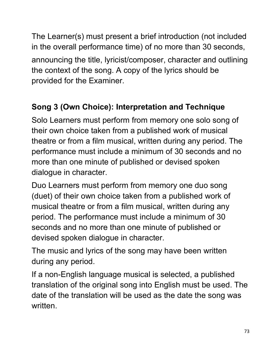The Learner(s) must present a brief introduction (not included in the overall performance time) of no more than 30 seconds, announcing the title, lyricist/composer, character and outlining the context of the song. A copy of the lyrics should be provided for the Examiner.

### **Song 3 (Own Choice): Interpretation and Technique**

Solo Learners must perform from memory one solo song of their own choice taken from a published work of musical theatre or from a film musical, written during any period. The performance must include a minimum of 30 seconds and no more than one minute of published or devised spoken dialogue in character.

Duo Learners must perform from memory one duo song (duet) of their own choice taken from a published work of musical theatre or from a film musical, written during any period. The performance must include a minimum of 30 seconds and no more than one minute of published or devised spoken dialogue in character.

The music and lyrics of the song may have been written during any period.

If a non-English language musical is selected, a published translation of the original song into English must be used. The date of the translation will be used as the date the song was written.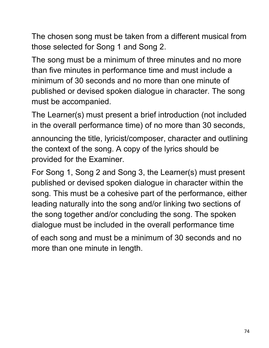The chosen song must be taken from a different musical from those selected for Song 1 and Song 2.

The song must be a minimum of three minutes and no more than five minutes in performance time and must include a minimum of 30 seconds and no more than one minute of published or devised spoken dialogue in character. The song must be accompanied.

The Learner(s) must present a brief introduction (not included in the overall performance time) of no more than 30 seconds, announcing the title, lyricist/composer, character and outlining the context of the song. A copy of the lyrics should be provided for the Examiner.

For Song 1, Song 2 and Song 3, the Learner(s) must present published or devised spoken dialogue in character within the song. This must be a cohesive part of the performance, either leading naturally into the song and/or linking two sections of the song together and/or concluding the song. The spoken dialogue must be included in the overall performance time of each song and must be a minimum of 30 seconds and no

more than one minute in length.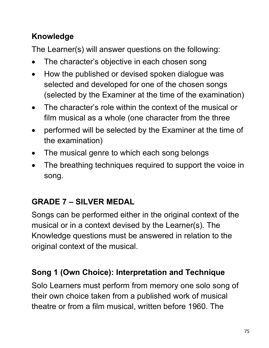### **Knowledge**

The Learner(s) will answer questions on the following:

- The character's objective in each chosen song
- How the published or devised spoken dialogue was selected and developed for one of the chosen songs (selected by the Examiner at the time of the examination)
- The character's role within the context of the musical or film musical as a whole (one character from the three
- performed will be selected by the Examiner at the time of the examination)
- The musical genre to which each song belongs
- The breathing techniques required to support the voice in song.

### **GRADE 7 – SILVER MEDAL**

Songs can be performed either in the original context of the musical or in a context devised by the Learner(s). The Knowledge questions must be answered in relation to the original context of the musical.

### **Song 1 (Own Choice): Interpretation and Technique**

Solo Learners must perform from memory one solo song of their own choice taken from a published work of musical theatre or from a film musical, written before 1960. The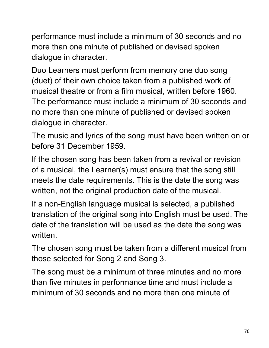performance must include a minimum of 30 seconds and no more than one minute of published or devised spoken dialogue in character.

Duo Learners must perform from memory one duo song (duet) of their own choice taken from a published work of musical theatre or from a film musical, written before 1960. The performance must include a minimum of 30 seconds and no more than one minute of published or devised spoken dialogue in character.

The music and lyrics of the song must have been written on or before 31 December 1959.

If the chosen song has been taken from a revival or revision of a musical, the Learner(s) must ensure that the song still meets the date requirements. This is the date the song was written, not the original production date of the musical.

If a non-English language musical is selected, a published translation of the original song into English must be used. The date of the translation will be used as the date the song was written.

The chosen song must be taken from a different musical from those selected for Song 2 and Song 3.

The song must be a minimum of three minutes and no more than five minutes in performance time and must include a minimum of 30 seconds and no more than one minute of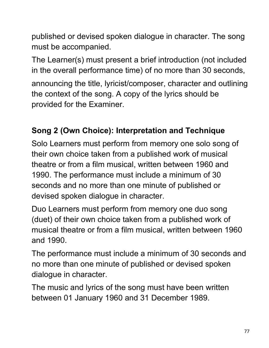published or devised spoken dialogue in character. The song must be accompanied.

The Learner(s) must present a brief introduction (not included in the overall performance time) of no more than 30 seconds, announcing the title, lyricist/composer, character and outlining the context of the song. A copy of the lyrics should be provided for the Examiner.

### **Song 2 (Own Choice): Interpretation and Technique**

Solo Learners must perform from memory one solo song of their own choice taken from a published work of musical theatre or from a film musical, written between 1960 and 1990. The performance must include a minimum of 30 seconds and no more than one minute of published or devised spoken dialogue in character.

Duo Learners must perform from memory one duo song (duet) of their own choice taken from a published work of musical theatre or from a film musical, written between 1960 and 1990.

The performance must include a minimum of 30 seconds and no more than one minute of published or devised spoken dialogue in character.

The music and lyrics of the song must have been written between 01 January 1960 and 31 December 1989.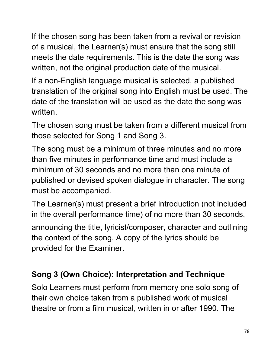If the chosen song has been taken from a revival or revision of a musical, the Learner(s) must ensure that the song still meets the date requirements. This is the date the song was written, not the original production date of the musical.

If a non-English language musical is selected, a published translation of the original song into English must be used. The date of the translation will be used as the date the song was written.

The chosen song must be taken from a different musical from those selected for Song 1 and Song 3.

The song must be a minimum of three minutes and no more than five minutes in performance time and must include a minimum of 30 seconds and no more than one minute of published or devised spoken dialogue in character. The song must be accompanied.

The Learner(s) must present a brief introduction (not included in the overall performance time) of no more than 30 seconds,

announcing the title, lyricist/composer, character and outlining the context of the song. A copy of the lyrics should be provided for the Examiner.

### **Song 3 (Own Choice): Interpretation and Technique**

Solo Learners must perform from memory one solo song of their own choice taken from a published work of musical theatre or from a film musical, written in or after 1990. The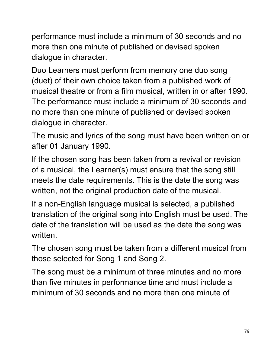performance must include a minimum of 30 seconds and no more than one minute of published or devised spoken dialogue in character.

Duo Learners must perform from memory one duo song (duet) of their own choice taken from a published work of musical theatre or from a film musical, written in or after 1990. The performance must include a minimum of 30 seconds and no more than one minute of published or devised spoken dialogue in character.

The music and lyrics of the song must have been written on or after 01 January 1990.

If the chosen song has been taken from a revival or revision of a musical, the Learner(s) must ensure that the song still meets the date requirements. This is the date the song was written, not the original production date of the musical.

If a non-English language musical is selected, a published translation of the original song into English must be used. The date of the translation will be used as the date the song was written.

The chosen song must be taken from a different musical from those selected for Song 1 and Song 2.

The song must be a minimum of three minutes and no more than five minutes in performance time and must include a minimum of 30 seconds and no more than one minute of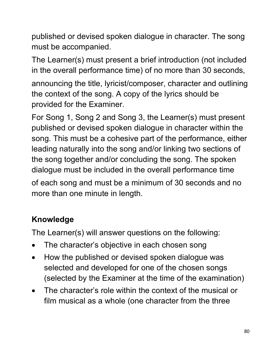published or devised spoken dialogue in character. The song must be accompanied.

The Learner(s) must present a brief introduction (not included in the overall performance time) of no more than 30 seconds, announcing the title, lyricist/composer, character and outlining the context of the song. A copy of the lyrics should be provided for the Examiner.

For Song 1, Song 2 and Song 3, the Learner(s) must present published or devised spoken dialogue in character within the song. This must be a cohesive part of the performance, either leading naturally into the song and/or linking two sections of the song together and/or concluding the song. The spoken dialogue must be included in the overall performance time

of each song and must be a minimum of 30 seconds and no more than one minute in length.

## **Knowledge**

The Learner(s) will answer questions on the following:

- The character's objective in each chosen song
- How the published or devised spoken dialogue was selected and developed for one of the chosen songs (selected by the Examiner at the time of the examination)
- The character's role within the context of the musical or film musical as a whole (one character from the three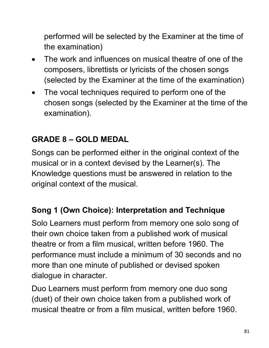performed will be selected by the Examiner at the time of the examination)

- The work and influences on musical theatre of one of the composers, librettists or lyricists of the chosen songs (selected by the Examiner at the time of the examination)
- The vocal techniques required to perform one of the chosen songs (selected by the Examiner at the time of the examination).

### **GRADE 8 – GOLD MEDAL**

Songs can be performed either in the original context of the musical or in a context devised by the Learner(s). The Knowledge questions must be answered in relation to the original context of the musical.

### **Song 1 (Own Choice): Interpretation and Technique**

Solo Learners must perform from memory one solo song of their own choice taken from a published work of musical theatre or from a film musical, written before 1960. The performance must include a minimum of 30 seconds and no more than one minute of published or devised spoken dialogue in character.

Duo Learners must perform from memory one duo song (duet) of their own choice taken from a published work of musical theatre or from a film musical, written before 1960.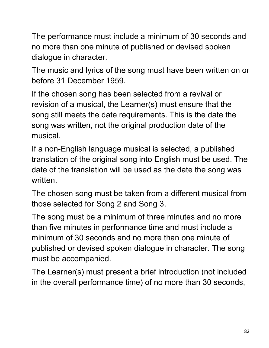The performance must include a minimum of 30 seconds and no more than one minute of published or devised spoken dialogue in character.

The music and lyrics of the song must have been written on or before 31 December 1959.

If the chosen song has been selected from a revival or revision of a musical, the Learner(s) must ensure that the song still meets the date requirements. This is the date the song was written, not the original production date of the musical.

If a non-English language musical is selected, a published translation of the original song into English must be used. The date of the translation will be used as the date the song was written.

The chosen song must be taken from a different musical from those selected for Song 2 and Song 3.

The song must be a minimum of three minutes and no more than five minutes in performance time and must include a minimum of 30 seconds and no more than one minute of published or devised spoken dialogue in character. The song must be accompanied.

The Learner(s) must present a brief introduction (not included in the overall performance time) of no more than 30 seconds,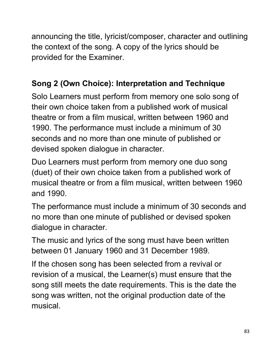announcing the title, lyricist/composer, character and outlining the context of the song. A copy of the lyrics should be provided for the Examiner.

### **Song 2 (Own Choice): Interpretation and Technique**

Solo Learners must perform from memory one solo song of their own choice taken from a published work of musical theatre or from a film musical, written between 1960 and 1990. The performance must include a minimum of 30 seconds and no more than one minute of published or devised spoken dialogue in character.

Duo Learners must perform from memory one duo song (duet) of their own choice taken from a published work of musical theatre or from a film musical, written between 1960 and 1990.

The performance must include a minimum of 30 seconds and no more than one minute of published or devised spoken dialogue in character.

The music and lyrics of the song must have been written between 01 January 1960 and 31 December 1989.

If the chosen song has been selected from a revival or revision of a musical, the Learner(s) must ensure that the song still meets the date requirements. This is the date the song was written, not the original production date of the musical.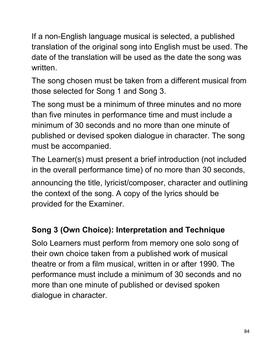If a non-English language musical is selected, a published translation of the original song into English must be used. The date of the translation will be used as the date the song was written.

The song chosen must be taken from a different musical from those selected for Song 1 and Song 3.

The song must be a minimum of three minutes and no more than five minutes in performance time and must include a minimum of 30 seconds and no more than one minute of published or devised spoken dialogue in character. The song must be accompanied.

The Learner(s) must present a brief introduction (not included in the overall performance time) of no more than 30 seconds,

announcing the title, lyricist/composer, character and outlining the context of the song. A copy of the lyrics should be provided for the Examiner.

### **Song 3 (Own Choice): Interpretation and Technique**

Solo Learners must perform from memory one solo song of their own choice taken from a published work of musical theatre or from a film musical, written in or after 1990. The performance must include a minimum of 30 seconds and no more than one minute of published or devised spoken dialogue in character.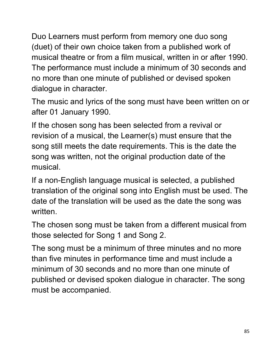Duo Learners must perform from memory one duo song (duet) of their own choice taken from a published work of musical theatre or from a film musical, written in or after 1990. The performance must include a minimum of 30 seconds and no more than one minute of published or devised spoken dialogue in character.

The music and lyrics of the song must have been written on or after 01 January 1990.

If the chosen song has been selected from a revival or revision of a musical, the Learner(s) must ensure that the song still meets the date requirements. This is the date the song was written, not the original production date of the musical.

If a non-English language musical is selected, a published translation of the original song into English must be used. The date of the translation will be used as the date the song was written.

The chosen song must be taken from a different musical from those selected for Song 1 and Song 2.

The song must be a minimum of three minutes and no more than five minutes in performance time and must include a minimum of 30 seconds and no more than one minute of published or devised spoken dialogue in character. The song must be accompanied.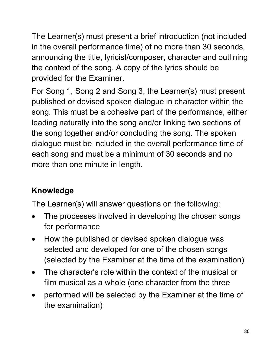The Learner(s) must present a brief introduction (not included in the overall performance time) of no more than 30 seconds, announcing the title, lyricist/composer, character and outlining the context of the song. A copy of the lyrics should be provided for the Examiner.

For Song 1, Song 2 and Song 3, the Learner(s) must present published or devised spoken dialogue in character within the song. This must be a cohesive part of the performance, either leading naturally into the song and/or linking two sections of the song together and/or concluding the song. The spoken dialogue must be included in the overall performance time of each song and must be a minimum of 30 seconds and no more than one minute in length.

## **Knowledge**

The Learner(s) will answer questions on the following:

- The processes involved in developing the chosen songs for performance
- How the published or devised spoken dialogue was selected and developed for one of the chosen songs (selected by the Examiner at the time of the examination)
- The character's role within the context of the musical or film musical as a whole (one character from the three
- performed will be selected by the Examiner at the time of the examination)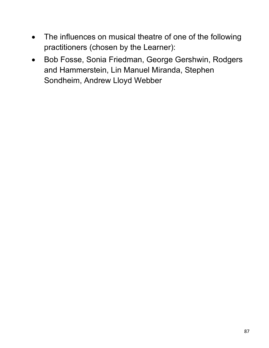- The influences on musical theatre of one of the following practitioners (chosen by the Learner):
- Bob Fosse, Sonia Friedman, George Gershwin, Rodgers and Hammerstein, Lin Manuel Miranda, Stephen Sondheim, Andrew Lloyd Webber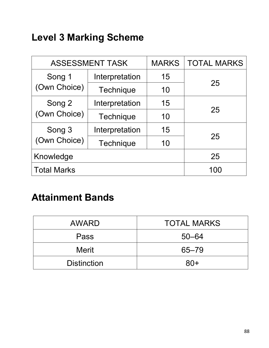## **Level 3 Marking Scheme**

| <b>ASSESSMENT TASK</b> |                  | <b>MARKS</b> | <b>TOTAL MARKS</b> |  |
|------------------------|------------------|--------------|--------------------|--|
| Song 1<br>(Own Choice) | Interpretation   | 15           | 25                 |  |
|                        | <b>Technique</b> | 10           |                    |  |
| Song 2                 | Interpretation   | 15           | 25                 |  |
| (Own Choice)           | Technique        | 10           |                    |  |
| Song 3                 | Interpretation   | 15           | 25                 |  |
| (Own Choice)           | <b>Technique</b> | 10           |                    |  |
| Knowledge              |                  | 25           |                    |  |
| <b>Total Marks</b>     |                  |              | 100                |  |

## **Attainment Bands**

| <b>AWARD</b>       | <b>TOTAL MARKS</b> |
|--------------------|--------------------|
| Pass               | $50 - 64$          |
| <b>Merit</b>       | $65 - 79$          |
| <b>Distinction</b> | $80+$              |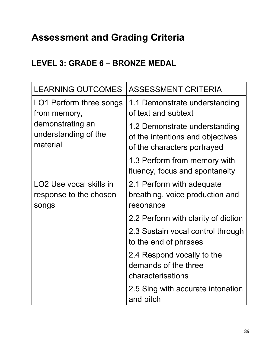# **Assessment and Grading Criteria**

### **LEVEL 3: GRADE 6 – BRONZE MEDAL**

| <b>LEARNING OUTCOMES</b>                                               | <b>ASSESSMENT CRITERIA</b>                                                                       |
|------------------------------------------------------------------------|--------------------------------------------------------------------------------------------------|
| LO1 Perform three songs<br>from memory,                                | 1.1 Demonstrate understanding<br>of text and subtext                                             |
| demonstrating an<br>understanding of the<br>material                   | 1.2 Demonstrate understanding<br>of the intentions and objectives<br>of the characters portrayed |
|                                                                        | 1.3 Perform from memory with<br>fluency, focus and spontaneity                                   |
| LO <sub>2</sub> Use vocal skills in<br>response to the chosen<br>songs | 2.1 Perform with adequate<br>breathing, voice production and<br>resonance                        |
|                                                                        | 2.2 Perform with clarity of diction                                                              |
|                                                                        | 2.3 Sustain vocal control through<br>to the end of phrases                                       |
|                                                                        | 2.4 Respond vocally to the<br>demands of the three<br>characterisations                          |
|                                                                        | 2.5 Sing with accurate intonation<br>and pitch                                                   |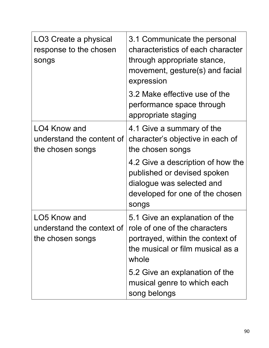| LO3 Create a physical<br>response to the chosen<br>songs              | 3.1 Communicate the personal<br>characteristics of each character<br>through appropriate stance,<br>movement, gesture(s) and facial<br>expression |
|-----------------------------------------------------------------------|---------------------------------------------------------------------------------------------------------------------------------------------------|
|                                                                       | 3.2 Make effective use of the<br>performance space through<br>appropriate staging                                                                 |
| LO4 Know and<br>understand the content of<br>the chosen songs         | 4.1 Give a summary of the<br>character's objective in each of<br>the chosen songs                                                                 |
|                                                                       | 4.2 Give a description of how the<br>published or devised spoken<br>dialogue was selected and<br>developed for one of the chosen<br>songs         |
| LO5 Know and<br>understand the context of $\vert$<br>the chosen songs | 5.1 Give an explanation of the<br>role of one of the characters<br>portrayed, within the context of<br>the musical or film musical as a<br>whole  |
|                                                                       | 5.2 Give an explanation of the<br>musical genre to which each<br>song belongs                                                                     |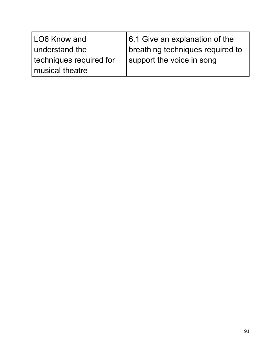| LO6 Know and            | 6.1 Give an explanation of the     |
|-------------------------|------------------------------------|
| understand the          | I breathing techniques required to |
| techniques required for | support the voice in song          |
| musical theatre         |                                    |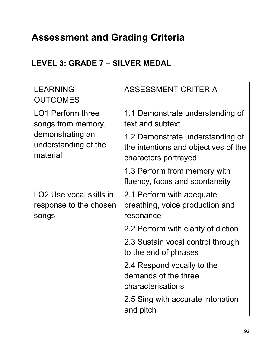# **Assessment and Grading Criteria**

### **LEVEL 3: GRADE 7 – SILVER MEDAL**

| <b>LEARNING</b><br><b>OUTCOMES</b>                                                                     | <b>ASSESSMENT CRITERIA</b>                                                                       |
|--------------------------------------------------------------------------------------------------------|--------------------------------------------------------------------------------------------------|
| <b>LO1 Perform three</b><br>songs from memory,<br>demonstrating an<br>understanding of the<br>material | 1.1 Demonstrate understanding of<br>text and subtext                                             |
|                                                                                                        | 1.2 Demonstrate understanding of<br>the intentions and objectives of the<br>characters portrayed |
|                                                                                                        | 1.3 Perform from memory with<br>fluency, focus and spontaneity                                   |
| LO <sub>2</sub> Use vocal skills in<br>response to the chosen<br>songs                                 | 2.1 Perform with adequate<br>breathing, voice production and<br>resonance                        |
|                                                                                                        | 2.2 Perform with clarity of diction                                                              |
|                                                                                                        | 2.3 Sustain vocal control through<br>to the end of phrases                                       |
|                                                                                                        | 2.4 Respond vocally to the<br>demands of the three<br>characterisations                          |
|                                                                                                        | 2.5 Sing with accurate intonation<br>and pitch                                                   |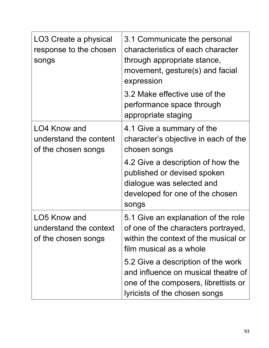| LO3 Create a physical<br>response to the chosen<br>songs      | 3.1 Communicate the personal<br>characteristics of each character<br>through appropriate stance,<br>movement, gesture(s) and facial<br>expression  |
|---------------------------------------------------------------|----------------------------------------------------------------------------------------------------------------------------------------------------|
|                                                               | 3.2 Make effective use of the<br>performance space through<br>appropriate staging                                                                  |
| LO4 Know and<br>understand the content<br>of the chosen songs | 4.1 Give a summary of the<br>character's objective in each of the<br>chosen songs                                                                  |
|                                                               | 4.2 Give a description of how the<br>published or devised spoken<br>dialogue was selected and<br>developed for one of the chosen<br>songs          |
| LO5 Know and<br>understand the context<br>of the chosen songs | 5.1 Give an explanation of the role<br>of one of the characters portrayed,<br>within the context of the musical or<br>film musical as a whole      |
|                                                               | 5.2 Give a description of the work<br>and influence on musical theatre of<br>one of the composers, librettists or<br>lyricists of the chosen songs |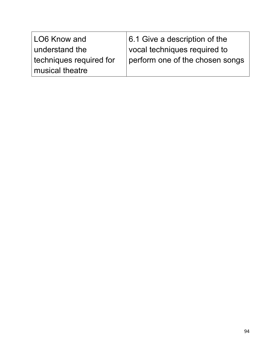| LO6 Know and            | $ 6.1$ Give a description of the |
|-------------------------|----------------------------------|
| understand the          | vocal techniques required to     |
| techniques required for | perform one of the chosen songs  |
| musical theatre         |                                  |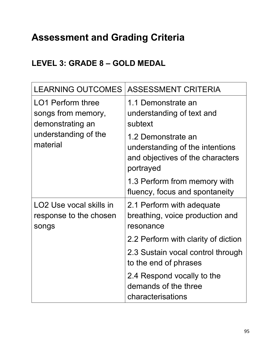# **Assessment and Grading Criteria**

### **LEVEL 3: GRADE 8 – GOLD MEDAL**

| <b>LEARNING OUTCOMES</b>                                               | <b>ASSESSMENT CRITERIA</b>                                                                             |
|------------------------------------------------------------------------|--------------------------------------------------------------------------------------------------------|
| <b>LO1 Perform three</b><br>songs from memory,<br>demonstrating an     | 1.1 Demonstrate an<br>understanding of text and<br>subtext                                             |
| understanding of the<br>material                                       | 1.2 Demonstrate an<br>understanding of the intentions<br>and objectives of the characters<br>portrayed |
|                                                                        | 1.3 Perform from memory with<br>fluency, focus and spontaneity                                         |
| LO <sub>2</sub> Use vocal skills in<br>response to the chosen<br>songs | 2.1 Perform with adequate<br>breathing, voice production and<br>resonance                              |
|                                                                        | 2.2 Perform with clarity of diction                                                                    |
|                                                                        | 2.3 Sustain vocal control through<br>to the end of phrases                                             |
|                                                                        | 2.4 Respond vocally to the<br>demands of the three<br>characterisations                                |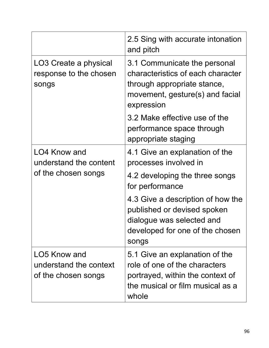|                                                               | 2.5 Sing with accurate intonation<br>and pitch                                                                                                    |
|---------------------------------------------------------------|---------------------------------------------------------------------------------------------------------------------------------------------------|
| LO3 Create a physical<br>response to the chosen<br>songs      | 3.1 Communicate the personal<br>characteristics of each character<br>through appropriate stance,<br>movement, gesture(s) and facial<br>expression |
|                                                               | 3.2 Make effective use of the<br>performance space through<br>appropriate staging                                                                 |
| LO4 Know and<br>understand the content<br>of the chosen songs | 4.1 Give an explanation of the<br>processes involved in                                                                                           |
|                                                               | 4.2 developing the three songs<br>for performance                                                                                                 |
|                                                               | 4.3 Give a description of how the<br>published or devised spoken<br>dialogue was selected and<br>developed for one of the chosen<br>songs         |
| LO5 Know and<br>understand the context<br>of the chosen songs | 5.1 Give an explanation of the<br>role of one of the characters<br>portrayed, within the context of<br>the musical or film musical as a<br>whole  |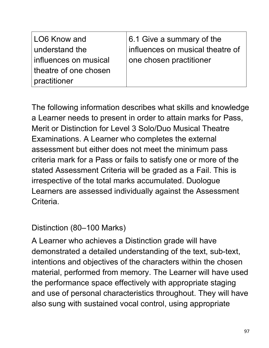| LO6 Know and          | 6.1 Give a summary of the        |
|-----------------------|----------------------------------|
| understand the        | influences on musical theatre of |
| influences on musical | one chosen practitioner          |
| theatre of one chosen |                                  |
| practitioner          |                                  |

The following information describes what skills and knowledge a Learner needs to present in order to attain marks for Pass, Merit or Distinction for Level 3 Solo/Duo Musical Theatre Examinations. A Learner who completes the external assessment but either does not meet the minimum pass criteria mark for a Pass or fails to satisfy one or more of the stated Assessment Criteria will be graded as a Fail. This is irrespective of the total marks accumulated. Duologue Learners are assessed individually against the Assessment Criteria.

### Distinction (80–100 Marks)

A Learner who achieves a Distinction grade will have demonstrated a detailed understanding of the text, sub-text, intentions and objectives of the characters within the chosen material, performed from memory. The Learner will have used the performance space effectively with appropriate staging and use of personal characteristics throughout. They will have also sung with sustained vocal control, using appropriate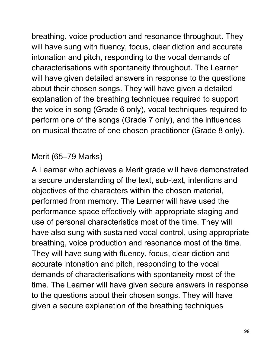breathing, voice production and resonance throughout. They will have sung with fluency, focus, clear diction and accurate intonation and pitch, responding to the vocal demands of characterisations with spontaneity throughout. The Learner will have given detailed answers in response to the questions about their chosen songs. They will have given a detailed explanation of the breathing techniques required to support the voice in song (Grade 6 only), vocal techniques required to perform one of the songs (Grade 7 only), and the influences on musical theatre of one chosen practitioner (Grade 8 only).

### Merit (65–79 Marks)

A Learner who achieves a Merit grade will have demonstrated a secure understanding of the text, sub-text, intentions and objectives of the characters within the chosen material, performed from memory. The Learner will have used the performance space effectively with appropriate staging and use of personal characteristics most of the time. They will have also sung with sustained vocal control, using appropriate breathing, voice production and resonance most of the time. They will have sung with fluency, focus, clear diction and accurate intonation and pitch, responding to the vocal demands of characterisations with spontaneity most of the time. The Learner will have given secure answers in response to the questions about their chosen songs. They will have given a secure explanation of the breathing techniques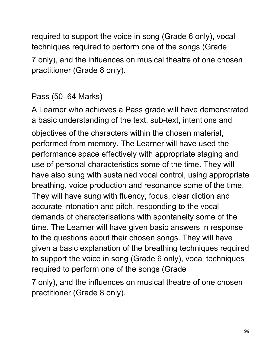required to support the voice in song (Grade 6 only), vocal techniques required to perform one of the songs (Grade 7 only), and the influences on musical theatre of one chosen practitioner (Grade 8 only).

### Pass (50–64 Marks)

A Learner who achieves a Pass grade will have demonstrated a basic understanding of the text, sub-text, intentions and objectives of the characters within the chosen material, performed from memory. The Learner will have used the performance space effectively with appropriate staging and use of personal characteristics some of the time. They will have also sung with sustained vocal control, using appropriate breathing, voice production and resonance some of the time. They will have sung with fluency, focus, clear diction and accurate intonation and pitch, responding to the vocal demands of characterisations with spontaneity some of the time. The Learner will have given basic answers in response to the questions about their chosen songs. They will have given a basic explanation of the breathing techniques required to support the voice in song (Grade 6 only), vocal techniques required to perform one of the songs (Grade

7 only), and the influences on musical theatre of one chosen practitioner (Grade 8 only).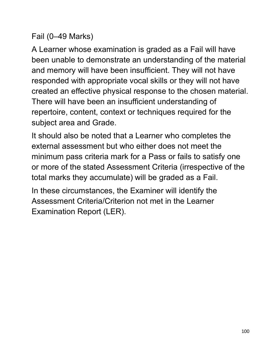### Fail (0–49 Marks)

A Learner whose examination is graded as a Fail will have been unable to demonstrate an understanding of the material and memory will have been insufficient. They will not have responded with appropriate vocal skills or they will not have created an effective physical response to the chosen material. There will have been an insufficient understanding of repertoire, content, context or techniques required for the subject area and Grade.

It should also be noted that a Learner who completes the external assessment but who either does not meet the minimum pass criteria mark for a Pass or fails to satisfy one or more of the stated Assessment Criteria (irrespective of the total marks they accumulate) will be graded as a Fail.

In these circumstances, the Examiner will identify the Assessment Criteria/Criterion not met in the Learner Examination Report (LER).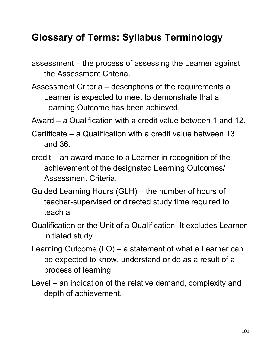## **Glossary of Terms: Syllabus Terminology**

assessment – the process of assessing the Learner against the Assessment Criteria.

Assessment Criteria – descriptions of the requirements a Learner is expected to meet to demonstrate that a Learning Outcome has been achieved.

Award – a Qualification with a credit value between 1 and 12.

- Certificate a Qualification with a credit value between 13 and 36.
- credit an award made to a Learner in recognition of the achievement of the designated Learning Outcomes/ Assessment Criteria.
- Guided Learning Hours (GLH) the number of hours of teacher-supervised or directed study time required to teach a
- Qualification or the Unit of a Qualification. It excludes Learner initiated study.
- Learning Outcome (LO) a statement of what a Learner can be expected to know, understand or do as a result of a process of learning.
- Level an indication of the relative demand, complexity and depth of achievement.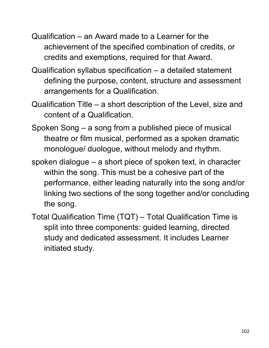- Qualification an Award made to a Learner for the achievement of the specified combination of credits, or credits and exemptions, required for that Award.
- Qualification syllabus specification a detailed statement defining the purpose, content, structure and assessment arrangements for a Qualification.
- Qualification Title a short description of the Level, size and content of a Qualification.
- Spoken Song a song from a published piece of musical theatre or film musical, performed as a spoken dramatic monologue/ duologue, without melody and rhythm.
- spoken dialogue a short piece of spoken text, in character within the song. This must be a cohesive part of the performance, either leading naturally into the song and/or linking two sections of the song together and/or concluding the song.
- Total Qualification Time (TQT) Total Qualification Time is split into three components: guided learning, directed study and dedicated assessment. It includes Learner initiated study.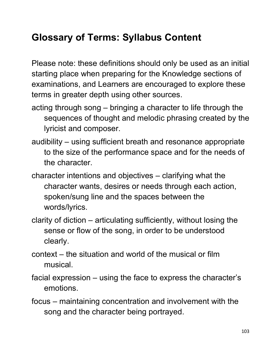## **Glossary of Terms: Syllabus Content**

Please note: these definitions should only be used as an initial starting place when preparing for the Knowledge sections of examinations, and Learners are encouraged to explore these terms in greater depth using other sources.

- acting through song bringing a character to life through the sequences of thought and melodic phrasing created by the lyricist and composer.
- audibility using sufficient breath and resonance appropriate to the size of the performance space and for the needs of the character.
- character intentions and objectives clarifying what the character wants, desires or needs through each action, spoken/sung line and the spaces between the words/lyrics.
- clarity of diction articulating sufficiently, without losing the sense or flow of the song, in order to be understood clearly.
- context the situation and world of the musical or film musical.
- facial expression using the face to express the character's emotions.
- focus maintaining concentration and involvement with the song and the character being portrayed.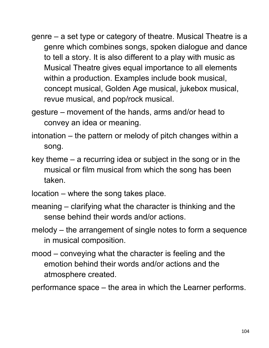- genre a set type or category of theatre. Musical Theatre is a genre which combines songs, spoken dialogue and dance to tell a story. It is also different to a play with music as Musical Theatre gives equal importance to all elements within a production. Examples include book musical, concept musical, Golden Age musical, jukebox musical, revue musical, and pop/rock musical.
- gesture movement of the hands, arms and/or head to convey an idea or meaning.
- intonation the pattern or melody of pitch changes within a song.
- key theme a recurring idea or subject in the song or in the musical or film musical from which the song has been taken.
- location where the song takes place.
- meaning clarifying what the character is thinking and the sense behind their words and/or actions.
- melody the arrangement of single notes to form a sequence in musical composition.
- mood conveying what the character is feeling and the emotion behind their words and/or actions and the atmosphere created.

performance space – the area in which the Learner performs.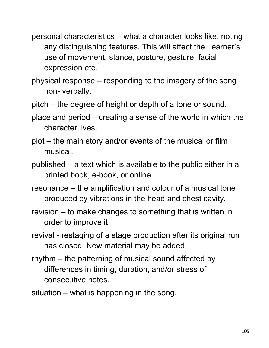- personal characteristics what a character looks like, noting any distinguishing features. This will affect the Learner's use of movement, stance, posture, gesture, facial expression etc.
- physical response responding to the imagery of the song non- verbally.
- pitch the degree of height or depth of a tone or sound.
- place and period creating a sense of the world in which the character lives.
- plot the main story and/or events of the musical or film musical.
- published a text which is available to the public either in a printed book, e-book, or online.
- resonance the amplification and colour of a musical tone produced by vibrations in the head and chest cavity.
- revision to make changes to something that is written in order to improve it.
- revival restaging of a stage production after its original run has closed. New material may be added.
- rhythm the patterning of musical sound affected by differences in timing, duration, and/or stress of consecutive notes.
- situation what is happening in the song.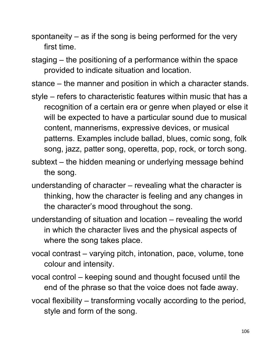spontaneity – as if the song is being performed for the very first time.

staging – the positioning of a performance within the space provided to indicate situation and location.

stance – the manner and position in which a character stands.

- style refers to characteristic features within music that has a recognition of a certain era or genre when played or else it will be expected to have a particular sound due to musical content, mannerisms, expressive devices, or musical patterns. Examples include ballad, blues, comic song, folk song, jazz, patter song, operetta, pop, rock, or torch song.
- subtext the hidden meaning or underlying message behind the song.
- understanding of character revealing what the character is thinking, how the character is feeling and any changes in the character's mood throughout the song.
- understanding of situation and location revealing the world in which the character lives and the physical aspects of where the song takes place.
- vocal contrast varying pitch, intonation, pace, volume, tone colour and intensity.
- vocal control keeping sound and thought focused until the end of the phrase so that the voice does not fade away.
- vocal flexibility transforming vocally according to the period, style and form of the song.